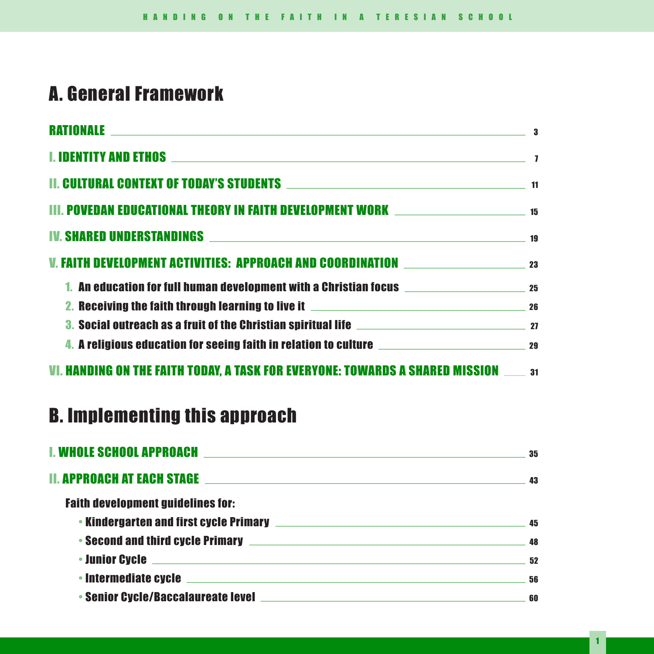# A. General Framework

| <b>RATIONALE</b><br><u> 1989 - Johann Stein, marwolaethau a bhann an t-Amhainn an t-Amhainn an t-Amhainn an t-Amhainn an t-Amhainn an</u> | 3 |
|-------------------------------------------------------------------------------------------------------------------------------------------|---|
|                                                                                                                                           |   |
| <b>II. CULTURAL CONTEXT OF TODAY'S STUDENTS And the contract of the contract of the contract of the contract of t</b>                     |   |
|                                                                                                                                           |   |
|                                                                                                                                           |   |
|                                                                                                                                           |   |
|                                                                                                                                           |   |
|                                                                                                                                           |   |
| 3. Social outreach as a fruit of the Christian spiritual life <b>Christian</b> spiritual 27                                               |   |
|                                                                                                                                           |   |
| VI. HANDING ON THE FAITH TODAY, A TASK FOR EVERYONE: TOWARDS A SHARED MISSION ______ 31                                                   |   |

# B. Implementing this approach

| I. WHOLE SCHOOL APPROACH<br><u> 1989 - Johann Barn, amerikansk politiker (d. 1989)</u>                                                             | 35 |
|----------------------------------------------------------------------------------------------------------------------------------------------------|----|
| II. APPROACH AT EACH STAGE<br><u> Alexandria de la contrada de la contrada de la contrada de la contrada de la contrada de la contrada de la c</u> | 43 |
| <b>Faith development guidelines for:</b>                                                                                                           |    |
|                                                                                                                                                    | 45 |
|                                                                                                                                                    | 48 |
|                                                                                                                                                    | 52 |
|                                                                                                                                                    | 56 |
|                                                                                                                                                    | 60 |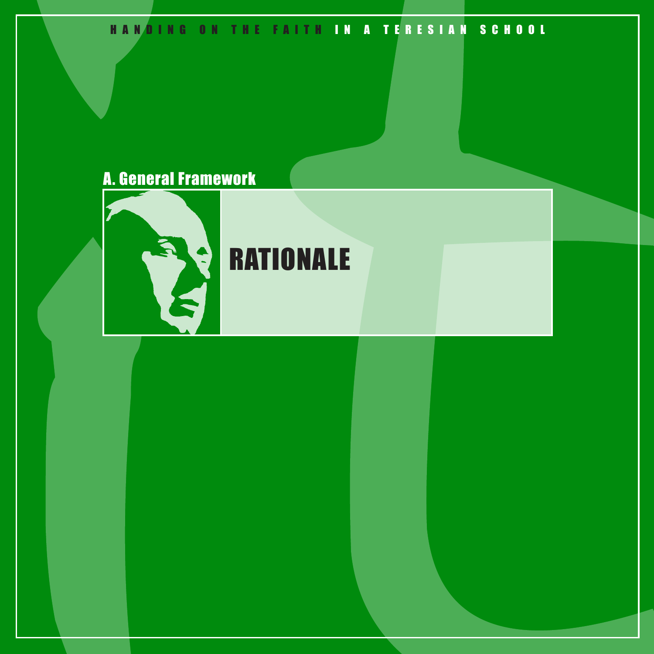# HANDING ON THE FAITH IN A TERESIAN SCHOOL

# A. General Framework



# **RATIONALE**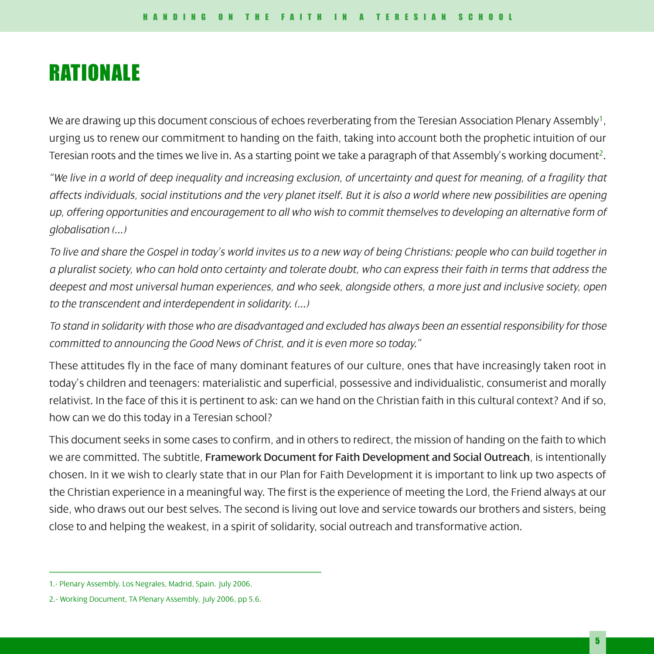# **RATIONALE**

We are drawing up this document conscious of echoes reverberating from the Teresian Association Plenary Assembly<sup>1</sup>, urging us to renew our commitment to handing on the faith, taking into account both the prophetic intuition of our Teresian roots and the times we live in. As a starting point we take a paragraph of that Assembly's working document<sup>2</sup>.

*"We live in a world of deep inequality and increasing exclusion, of uncertainty and quest for meaning, of a fragility that affects individuals, social institutions and the very planet itself. But it is also a world where new possibilities are opening up, offering opportunities and encouragement to all who wish to commit themselves to developing an alternative form of globalisation (...)*

*To live and share the Gospel in today's world invites us to a new way of being Christians: people who can build together in a pluralist society, who can hold onto certainty and tolerate doubt, who can express their faith in terms that address the deepest and most universal human experiences, and who seek, alongside others, a more just and inclusive society, open to the transcendent and interdependent in solidarity. (...)*

*To stand in solidarity with those who are disadvantaged and excluded has always been an essential responsibility for those committed to announcing the Good News of Christ, and it is even more so today."*

These attitudes fly in the face of many dominant features of our culture, ones that have increasingly taken root in today's children and teenagers: materialistic and superficial, possessive and individualistic, consumerist and morally relativist. In the face of this it is pertinent to ask: can we hand on the Christian faith in this cultural context? And if so, how can we do this today in a Teresian school?

This document seeks in some cases to confirm, and in others to redirect, the mission of handing on the faith to which we are committed. The subtitle, Framework Document for Faith Development and Social Outreach, is intentionally chosen. In it we wish to clearly state that in our Plan for Faith Development it is important to link up two aspects of the Christian experience in a meaningful way. The first is the experience of meeting the Lord, the Friend always at our side, who draws out our best selves. The second is living out love and service towards our brothers and sisters, being close to and helping the weakest, in a spirit of solidarity, social outreach and transformative action.

<sup>1.-</sup> Plenary Assembly. Los Negrales, Madrid, Spain. July 2006.

<sup>2.-</sup> Working Document, TA Plenary Assembly, July 2006, pp 5,6.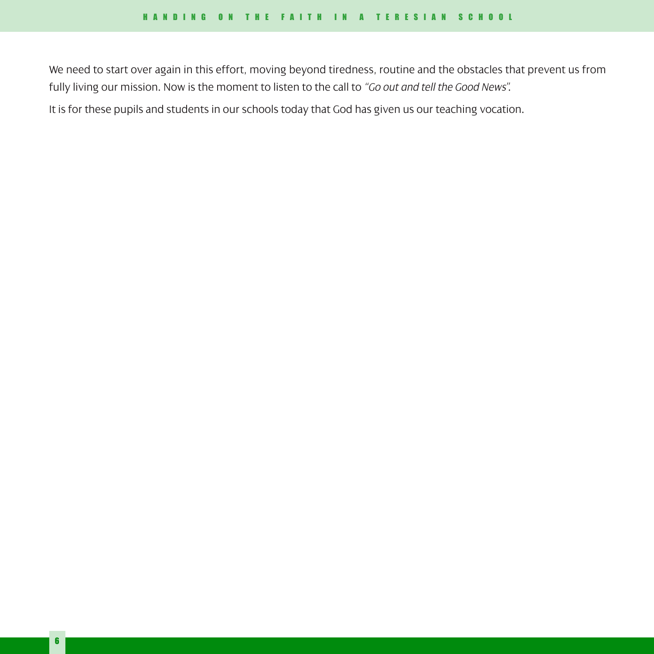We need to start over again in this effort, moving beyond tiredness, routine and the obstacles that prevent us from fully living our mission. Now is the moment to listen to the call to *"Go out and tell the Good News"*.

It is for these pupils and students in our schools today that God has given us our teaching vocation.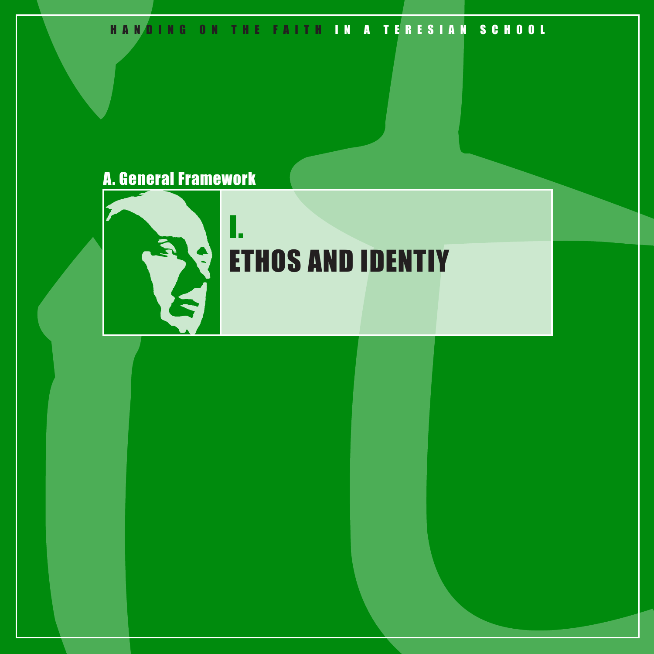# HANDING ON THE FAITH IN A TERESIAN SCHOOL

# A. General Framework

I.



# ETHOS AND IDENTIY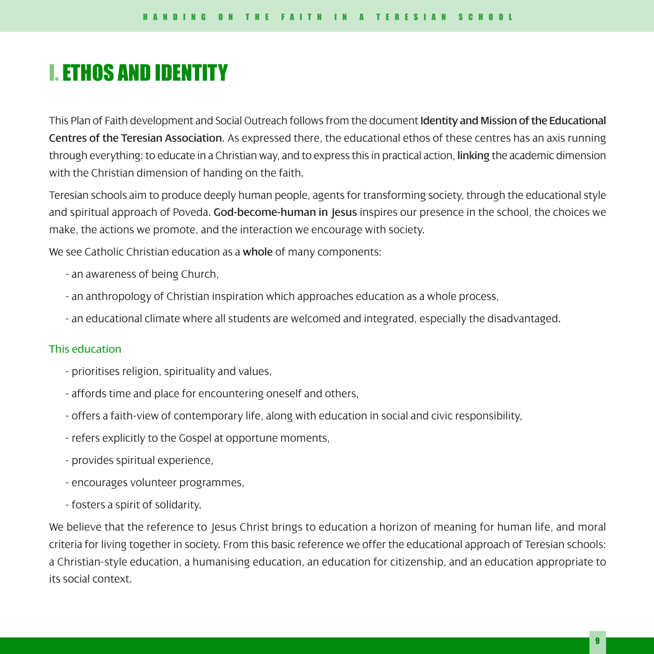# I. ETHOS AND IDENTITY

This Plan of Faith development and Social Outreach follows from the document Identity and Mission of the Educational Centres of the Teresian Association. As expressed there, the educational ethos of these centres has an axis running through everything: to educate in a Christian way, and to express this in practical action, linking the academic dimension with the Christian dimension of handing on the faith.

Teresian schools aim to produce deeply human people, agents for transforming society, through the educational style and spiritual approach of Poveda. God-become-human in Jesus inspires our presence in the school, the choices we make, the actions we promote, and the interaction we encourage with society.

We see Catholic Christian education as a whole of many components:

- an awareness of being Church,
- an anthropology of Christian inspiration which approaches education as a whole process,
- an educational climate where all students are welcomed and integrated, especially the disadvantaged.

#### This education

- prioritises religion, spirituality and values,
- affords time and place for encountering oneself and others,
- offers a faith-view of contemporary life, along with education in social and civic responsibility,
- refers explicitly to the Gospel at opportune moments,
- provides spiritual experience,
- encourages volunteer programmes,
- fosters a spirit of solidarity.

We believe that the reference to Jesus Christ brings to education a horizon of meaning for human life, and moral criteria for living together in society. From this basic reference we offer the educational approach of Teresian schools: a Christian-style education, a humanising education, an education for citizenship, and an education appropriate to its social context.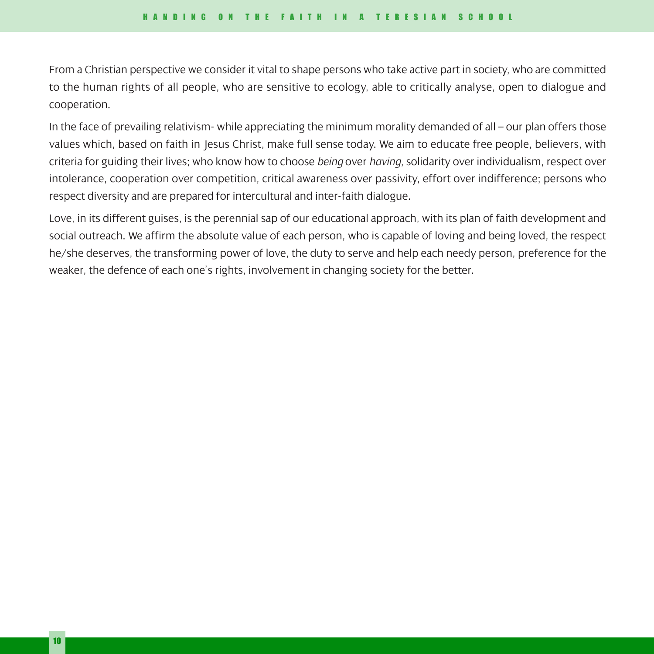From a Christian perspective we consider it vital to shape persons who take active part in society, who are committed to the human rights of all people, who are sensitive to ecology, able to critically analyse, open to dialogue and cooperation.

In the face of prevailing relativism- while appreciating the minimum morality demanded of all – our plan offers those values which, based on faith in Jesus Christ, make full sense today. We aim to educate free people, believers, with criteria for guiding their lives; who know how to choose *being* over *having*, solidarity over individualism, respect over intolerance, cooperation over competition, critical awareness over passivity, effort over indifference; persons who respect diversity and are prepared for intercultural and inter-faith dialogue.

Love, in its different guises, is the perennial sap of our educational approach, with its plan of faith development and social outreach. We affirm the absolute value of each person, who is capable of loving and being loved, the respect he/she deserves, the transforming power of love, the duty to serve and help each needy person, preference for the weaker, the defence of each one's rights, involvement in changing society for the better.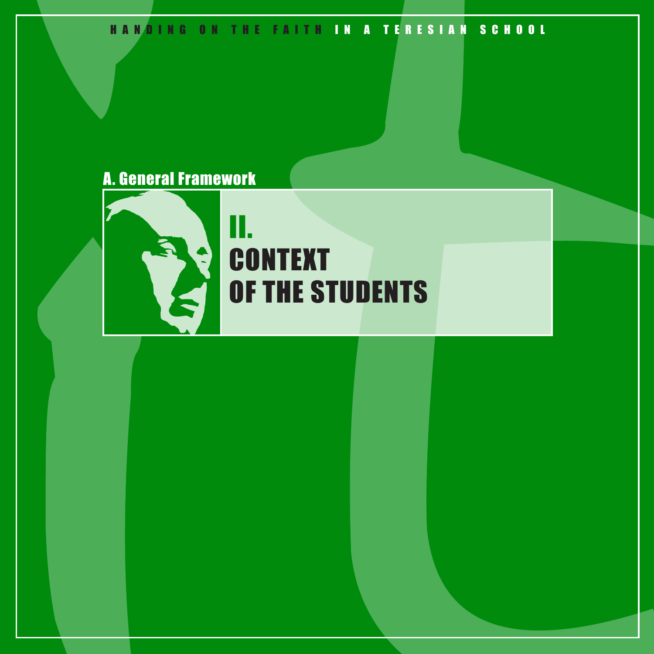# HANDING ON THE FAITH IN A TERESIAN SCHOOL

# A. General Framework

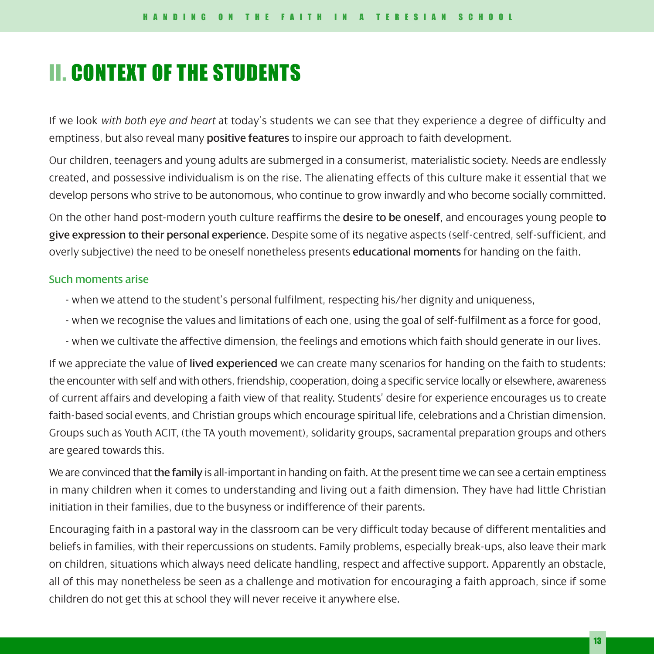# II. CONTEXT OF THE STUDENTS

If we look *with both eye and heart* at today's students we can see that they experience a degree of difficulty and emptiness, but also reveal many positive features to inspire our approach to faith development.

Our children, teenagers and young adults are submerged in a consumerist, materialistic society. Needs are endlessly created, and possessive individualism is on the rise. The alienating effects of this culture make it essential that we develop persons who strive to be autonomous, who continue to grow inwardly and who become socially committed.

On the other hand post-modern youth culture reaffirms the desire to be oneself, and encourages young people to give expression to their personal experience. Despite some of its negative aspects (self-centred, self-sufficient, and overly subjective) the need to be oneself nonetheless presents **educational moments** for handing on the faith.

### Such moments arise

- when we attend to the student's personal fulfilment, respecting his/her dignity and uniqueness,
- when we recognise the values and limitations of each one, using the goal of self-fulfilment as a force for good,
- when we cultivate the affective dimension, the feelings and emotions which faith should generate in our lives.

If we appreciate the value of lived experienced we can create many scenarios for handing on the faith to students: the encounter with self and with others, friendship, cooperation, doing a specific service locally or elsewhere, awareness of current affairs and developing a faith view of that reality. Students' desire for experience encourages us to create faith-based social events, and Christian groups which encourage spiritual life, celebrations and a Christian dimension. Groups such as Youth ACIT, (the TA youth movement), solidarity groups, sacramental preparation groups and others are geared towards this.

We are convinced that the family is all-important in handing on faith. At the present time we can see a certain emptiness in many children when it comes to understanding and living out a faith dimension. They have had little Christian initiation in their families, due to the busyness or indifference of their parents.

Encouraging faith in a pastoral way in the classroom can be very difficult today because of different mentalities and beliefs in families, with their repercussions on students. Family problems, especially break-ups, also leave their mark on children, situations which always need delicate handling, respect and affective support. Apparently an obstacle, all of this may nonetheless be seen as a challenge and motivation for encouraging a faith approach, since if some children do not get this at school they will never receive it anywhere else.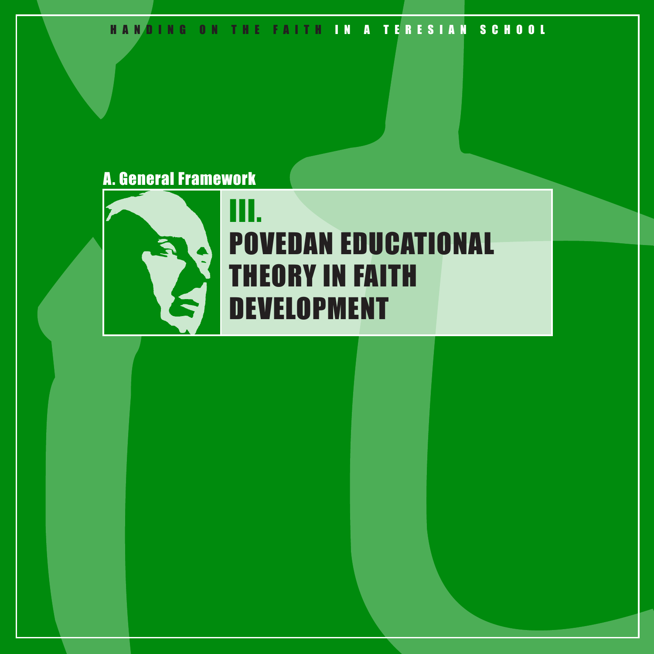HANDING ON THE FAITH IN A TERESIAN SCHOOL

# A. General Framework



# III. POVEDAN EDUCATIONAL THEORY IN FAITH DEVELOPMENT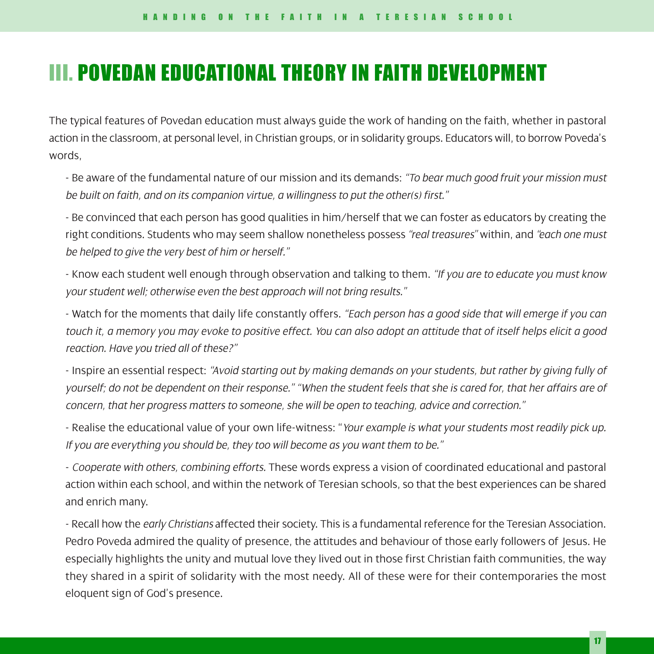# III. POVEDAN EDUCATIONAL THEORY IN FAITH DEVELOPMENT

The typical features of Povedan education must always guide the work of handing on the faith, whether in pastoral action in the classroom, at personal level, in Christian groups, or in solidarity groups. Educators will, to borrow Poveda's words,

- Be aware of the fundamental nature of our mission and its demands: *"To bear much good fruit your mission must be built on faith, and on its companion virtue, a willingness to put the other(s) first."*

- Be convinced that each person has good qualities in him/herself that we can foster as educators by creating the right conditions. Students who may seem shallow nonetheless possess *"real treasures"* within, and *"each one must be helped to give the very best of him or herself."*

- Know each student well enough through observation and talking to them. *"If you are to educate you must know your student well; otherwise even the best approach will not bring results."*

- Watch for the moments that daily life constantly offers. *"Each person has a good side that will emerge if you can touch it, a memory you may evoke to positive effect. You can also adopt an attitude that of itself helps elicit a good reaction. Have you tried all of these?"*

- Inspire an essential respect: *"Avoid starting out by making demands on your students, but rather by giving fully of yourself; do not be dependent on their response." "When the student feels that she is cared for, that her affairs are of concern, that her progress matters to someone, she will be open to teaching, advice and correction."*

- Realise the educational value of your own life-witness: "*Your example is what your students most readily pick up. If you are everything you should be, they too will become as you want them to be."*

- *Cooperate with others, combining efforts.* These words express a vision of coordinated educational and pastoral action within each school, and within the network of Teresian schools, so that the best experiences can be shared and enrich many.

- Recall how the *early Christians* affected their society. This is a fundamental reference for the Teresian Association. Pedro Poveda admired the quality of presence, the attitudes and behaviour of those early followers of Jesus. He especially highlights the unity and mutual love they lived out in those first Christian faith communities, the way they shared in a spirit of solidarity with the most needy. All of these were for their contemporaries the most eloquent sign of God's presence.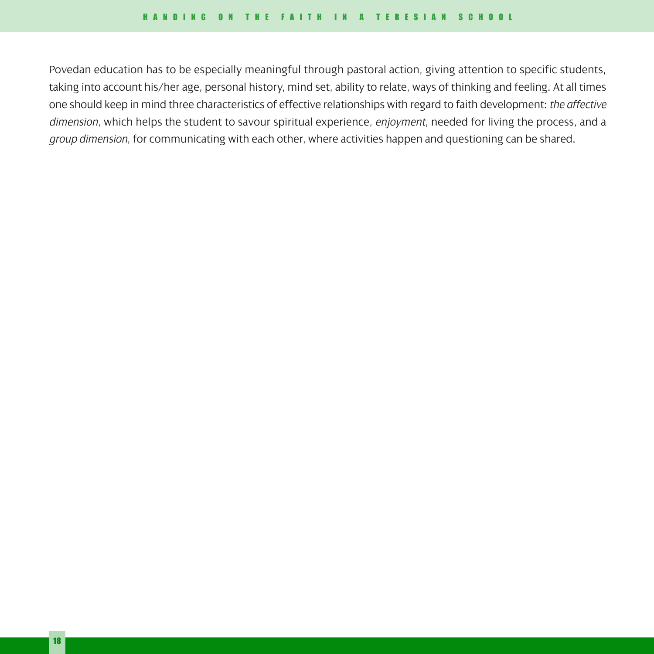Povedan education has to be especially meaningful through pastoral action, giving attention to specific students, taking into account his/her age, personal history, mind set, ability to relate, ways of thinking and feeling. At all times one should keep in mind three characteristics of effective relationships with regard to faith development: *the affective dimension*, which helps the student to savour spiritual experience, *enjoyment*, needed for living the process, and a *group dimension*, for communicating with each other, where activities happen and questioning can be shared.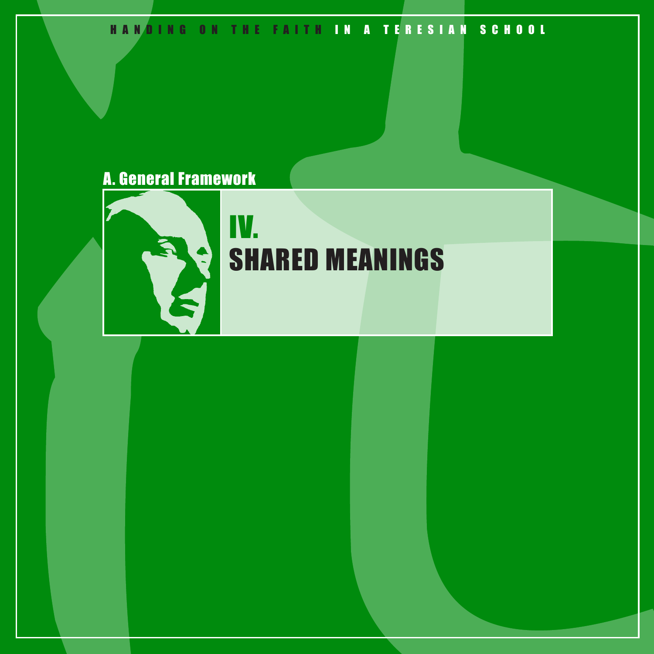# HANDING ON THE FAITH IN A TERESIAN SCHOOL

# A. General Framework



# IV. SHARED MEANINGS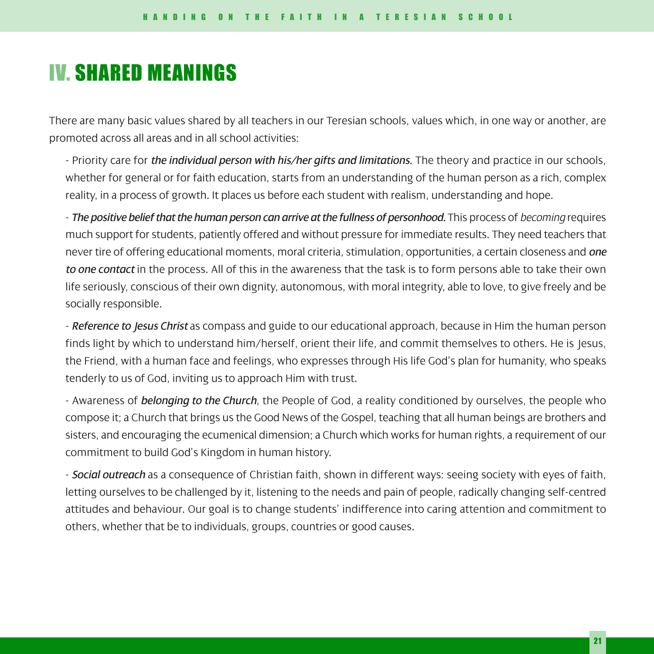# IV. SHARED MEANINGS

There are many basic values shared by all teachers in our Teresian schools, values which, in one way or another, are promoted across all areas and in all school activities:

- Priority care for *the individual person with his/her gifts and limitations*. The theory and practice in our schools, whether for general or for faith education, starts from an understanding of the human person as a rich, complex reality, in a process of growth. It places us before each student with realism, understanding and hope.

- *The positive belief that the human person can arrive at the fullness of personhood.* This process of *becoming* requires much support for students, patiently offered and without pressure for immediate results. They need teachers that never tire of offering educational moments, moral criteria, stimulation, opportunities, a certain closeness and *one to one contact* in the process. All of this in the awareness that the task is to form persons able to take their own life seriously, conscious of their own dignity, autonomous, with moral integrity, able to love, to give freely and be socially responsible.

- *Reference to Jesus Christ* as compass and guide to our educational approach, because in Him the human person finds light by which to understand him/herself, orient their life, and commit themselves to others. He is Jesus, the Friend, with a human face and feelings, who expresses through His life God's plan for humanity, who speaks tenderly to us of God, inviting us to approach Him with trust.

- Awareness of *belonging to the Church*, the People of God, a reality conditioned by ourselves, the people who compose it; a Church that brings us the Good News of the Gospel, teaching that all human beings are brothers and sisters, and encouraging the ecumenical dimension; a Church which works for human rights, a requirement of our commitment to build God's Kingdom in human history.

- *Social outreach* as a consequence of Christian faith, shown in different ways: seeing society with eyes of faith, letting ourselves to be challenged by it, listening to the needs and pain of people, radically changing self-centred attitudes and behaviour. Our goal is to change students' indifference into caring attention and commitment to others, whether that be to individuals, groups, countries or good causes.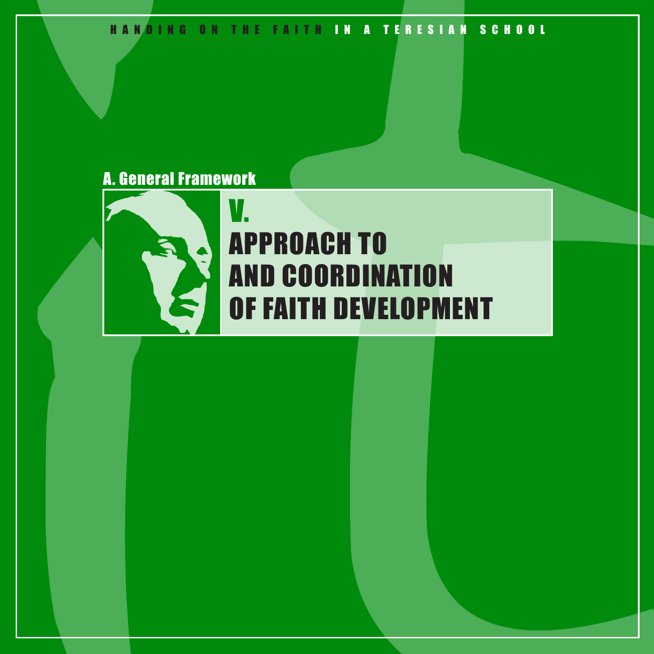HANDING ON THE FAITH IN A TERESIAN SCHOOL

# A. General Framework



# V. APPROACH TO AND COORDINATION OF FAITH DEVELOPMENT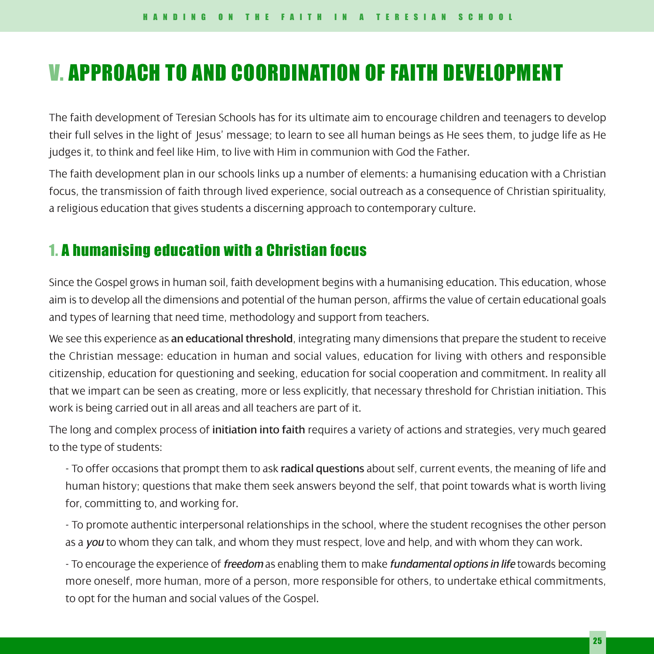# V. APPROACH TO AND COORDINATION OF FAITH DEVELOPMENT

The faith development of Teresian Schools has for its ultimate aim to encourage children and teenagers to develop their full selves in the light of Jesus' message; to learn to see all human beings as He sees them, to judge life as He judges it, to think and feel like Him, to live with Him in communion with God the Father.

The faith development plan in our schools links up a number of elements: a humanising education with a Christian focus, the transmission of faith through lived experience, social outreach as a consequence of Christian spirituality, a religious education that gives students a discerning approach to contemporary culture.

# 1. A humanising education with a Christian focus

Since the Gospel grows in human soil, faith development begins with a humanising education. This education, whose aim is to develop all the dimensions and potential of the human person, affirms the value of certain educational goals and types of learning that need time, methodology and support from teachers.

We see this experience as an educational threshold, integrating many dimensions that prepare the student to receive the Christian message: education in human and social values, education for living with others and responsible citizenship, education for questioning and seeking, education for social cooperation and commitment. In reality all that we impart can be seen as creating, more or less explicitly, that necessary threshold for Christian initiation. This work is being carried out in all areas and all teachers are part of it.

The long and complex process of initiation into faith requires a variety of actions and strategies, very much geared to the type of students:

- To offer occasions that prompt them to ask radical questions about self, current events, the meaning of life and human history; questions that make them seek answers beyond the self, that point towards what is worth living for, committing to, and working for.

- To promote authentic interpersonal relationships in the school, where the student recognises the other person as a *you* to whom they can talk, and whom they must respect, love and help, and with whom they can work.

- To encourage the experience of *freedom* as enabling them to make *fundamental options in life* towards becoming more oneself, more human, more of a person, more responsible for others, to undertake ethical commitments, to opt for the human and social values of the Gospel.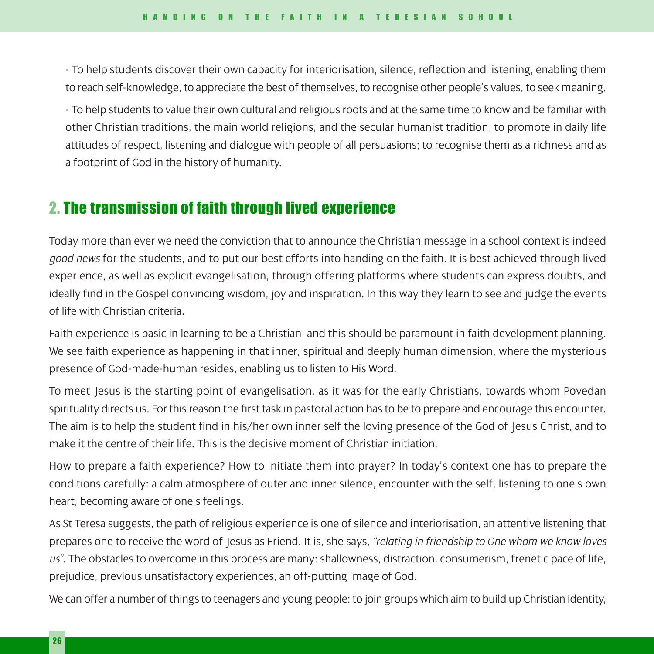- To help students discover their own capacity for interiorisation, silence, reflection and listening, enabling them to reach self-knowledge, to appreciate the best of themselves, to recognise other people's values, to seek meaning.

- To help students to value their own cultural and religious roots and at the same time to know and be familiar with other Christian traditions, the main world religions, and the secular humanist tradition; to promote in daily life attitudes of respect, listening and dialogue with people of all persuasions; to recognise them as a richness and as a footprint of God in the history of humanity.

# 2. The transmission of faith through lived experience

Today more than ever we need the conviction that to announce the Christian message in a school context is indeed *good news* for the students, and to put our best efforts into handing on the faith. It is best achieved through lived experience, as well as explicit evangelisation, through offering platforms where students can express doubts, and ideally find in the Gospel convincing wisdom, joy and inspiration. In this way they learn to see and judge the events of life with Christian criteria.

Faith experience is basic in learning to be a Christian, and this should be paramount in faith development planning. We see faith experience as happening in that inner, spiritual and deeply human dimension, where the mysterious presence of God-made-human resides, enabling us to listen to His Word.

To meet Jesus is the starting point of evangelisation, as it was for the early Christians, towards whom Povedan spirituality directs us. For this reason the first task in pastoral action has to be to prepare and encourage this encounter. The aim is to help the student find in his/her own inner self the loving presence of the God of Jesus Christ, and to make it the centre of their life. This is the decisive moment of Christian initiation.

How to prepare a faith experience? How to initiate them into prayer? In today's context one has to prepare the conditions carefully: a calm atmosphere of outer and inner silence, encounter with the self, listening to one's own heart, becoming aware of one's feelings.

As St Teresa suggests, the path of religious experience is one of silence and interiorisation, an attentive listening that prepares one to receive the word of Jesus as Friend. It is, she says, *"relating in friendship to One whom we know loves us"*. The obstacles to overcome in this process are many: shallowness, distraction, consumerism, frenetic pace of life, prejudice, previous unsatisfactory experiences, an off-putting image of God.

We can offer a number of things to teenagers and young people: to join groups which aim to build up Christian identity,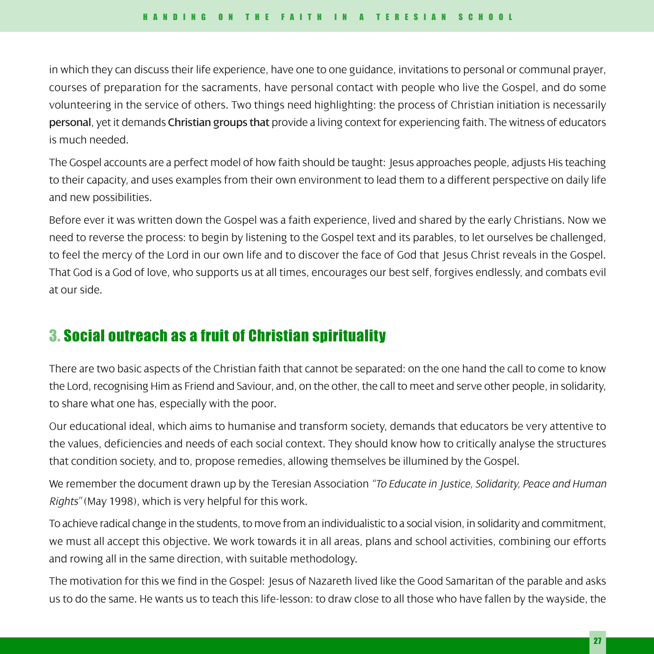in which they can discuss their life experience, have one to one guidance, invitations to personal or communal prayer, courses of preparation for the sacraments, have personal contact with people who live the Gospel, and do some volunteering in the service of others. Two things need highlighting: the process of Christian initiation is necessarily personal, yet it demands Christian groups that provide a living context for experiencing faith. The witness of educators is much needed.

The Gospel accounts are a perfect model of how faith should be taught: Jesus approaches people, adjusts His teaching to their capacity, and uses examples from their own environment to lead them to a different perspective on daily life and new possibilities.

Before ever it was written down the Gospel was a faith experience, lived and shared by the early Christians. Now we need to reverse the process: to begin by listening to the Gospel text and its parables, to let ourselves be challenged, to feel the mercy of the Lord in our own life and to discover the face of God that Jesus Christ reveals in the Gospel. That God is a God of love, who supports us at all times, encourages our best self, forgives endlessly, and combats evil at our side.

# 3. Social outreach as a fruit of Christian spirituality

There are two basic aspects of the Christian faith that cannot be separated: on the one hand the call to come to know the Lord, recognising Him as Friend and Saviour, and, on the other, the call to meet and serve other people, in solidarity, to share what one has, especially with the poor.

Our educational ideal, which aims to humanise and transform society, demands that educators be very attentive to the values, deficiencies and needs of each social context. They should know how to critically analyse the structures that condition society, and to, propose remedies, allowing themselves be illumined by the Gospel.

We remember the document drawn up by the Teresian Association *"To Educate in Justice, Solidarity, Peace and Human Rights"* (May 1998), which is very helpful for this work.

To achieve radical change in the students, to move from an individualistic to a social vision, in solidarity and commitment, we must all accept this objective. We work towards it in all areas, plans and school activities, combining our efforts and rowing all in the same direction, with suitable methodology.

The motivation for this we find in the Gospel: Jesus of Nazareth lived like the Good Samaritan of the parable and asks us to do the same. He wants us to teach this life-lesson: to draw close to all those who have fallen by the wayside, the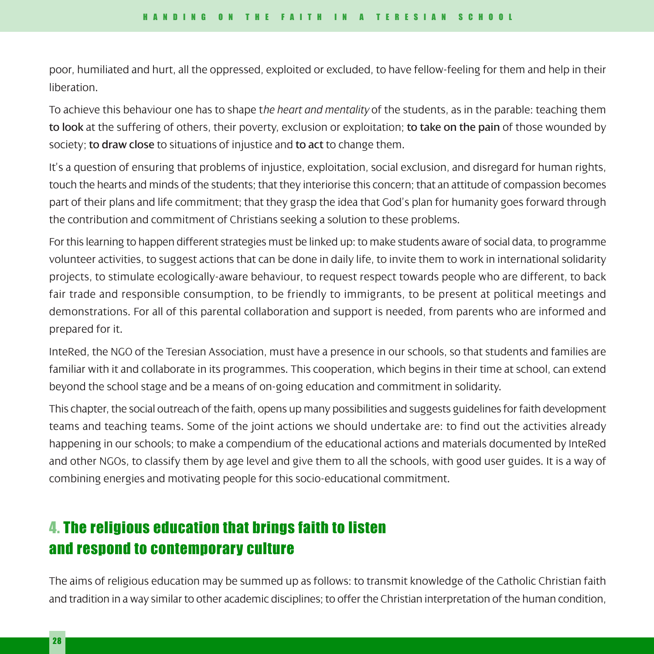poor, humiliated and hurt, all the oppressed, exploited or excluded, to have fellow-feeling for them and help in their liberation.

To achieve this behaviour one has to shape t*he heart and mentality* of the students, as in the parable: teaching them to look at the suffering of others, their poverty, exclusion or exploitation; to take on the pain of those wounded by society; to draw close to situations of injustice and to act to change them.

It's a question of ensuring that problems of injustice, exploitation, social exclusion, and disregard for human rights, touch the hearts and minds of the students; that they interiorise this concern; that an attitude of compassion becomes part of their plans and life commitment; that they grasp the idea that God's plan for humanity goes forward through the contribution and commitment of Christians seeking a solution to these problems.

For this learning to happen different strategies must be linked up: to make students aware of social data, to programme volunteer activities, to suggest actions that can be done in daily life, to invite them to work in international solidarity projects, to stimulate ecologically-aware behaviour, to request respect towards people who are different, to back fair trade and responsible consumption, to be friendly to immigrants, to be present at political meetings and demonstrations. For all of this parental collaboration and support is needed, from parents who are informed and prepared for it.

InteRed, the NGO of the Teresian Association, must have a presence in our schools, so that students and families are familiar with it and collaborate in its programmes. This cooperation, which begins in their time at school, can extend beyond the school stage and be a means of on-going education and commitment in solidarity.

This chapter, the social outreach of the faith, opens up many possibilities and suggests guidelines for faith development teams and teaching teams. Some of the joint actions we should undertake are: to find out the activities already happening in our schools; to make a compendium of the educational actions and materials documented by InteRed and other NGOs, to classify them by age level and give them to all the schools, with good user guides. It is a way of combining energies and motivating people for this socio-educational commitment.

# 4. The religious education that brings faith to listen and respond to contemporary culture

The aims of religious education may be summed up as follows: to transmit knowledge of the Catholic Christian faith and tradition in a way similar to other academic disciplines; to offer the Christian interpretation of the human condition,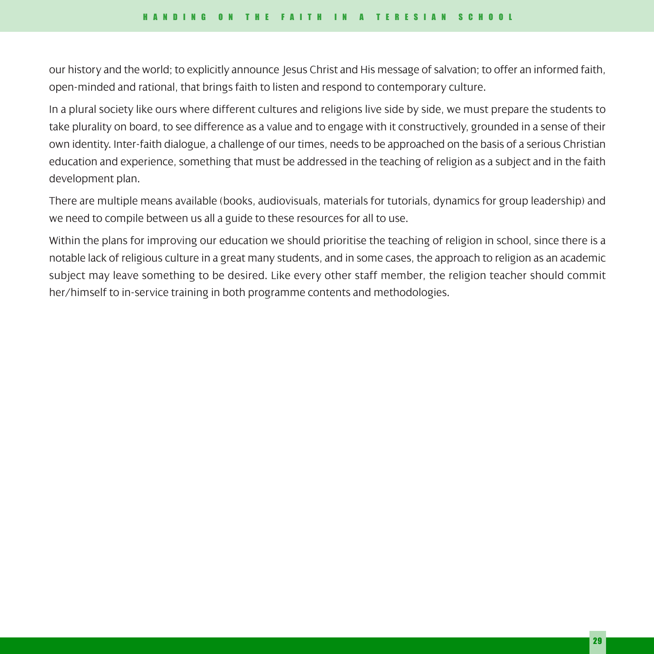our history and the world; to explicitly announce Jesus Christ and His message of salvation; to offer an informed faith, open-minded and rational, that brings faith to listen and respond to contemporary culture.

In a plural society like ours where different cultures and religions live side by side, we must prepare the students to take plurality on board, to see difference as a value and to engage with it constructively, grounded in a sense of their own identity. Inter-faith dialogue, a challenge of our times, needs to be approached on the basis of a serious Christian education and experience, something that must be addressed in the teaching of religion as a subject and in the faith development plan.

There are multiple means available (books, audiovisuals, materials for tutorials, dynamics for group leadership) and we need to compile between us all a guide to these resources for all to use.

Within the plans for improving our education we should prioritise the teaching of religion in school, since there is a notable lack of religious culture in a great many students, and in some cases, the approach to religion as an academic subject may leave something to be desired. Like every other staff member, the religion teacher should commit her/himself to in-service training in both programme contents and methodologies.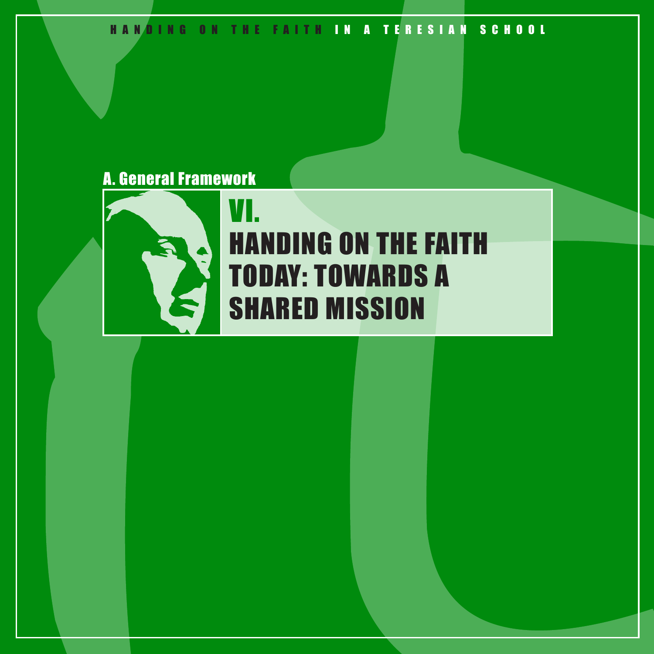HANDING ON THE FAITH IN A TERESIAN SCHOOL

# A. General Framework



# VI. HANDING ON THE FAITH TODAY: TOWARDS A SHARED MISSION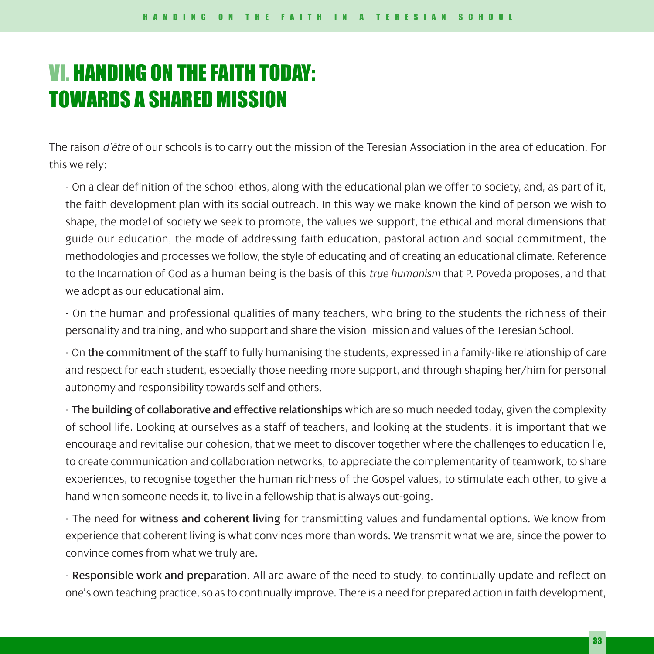# VI. HANDING ON THE FAITH TODAY: TOWARDS A SHARED MISSION

The raison *d'être* of our schools is to carry out the mission of the Teresian Association in the area of education. For this we rely:

- On a clear definition of the school ethos, along with the educational plan we offer to society, and, as part of it, the faith development plan with its social outreach. In this way we make known the kind of person we wish to shape, the model of society we seek to promote, the values we support, the ethical and moral dimensions that guide our education, the mode of addressing faith education, pastoral action and social commitment, the methodologies and processes we follow, the style of educating and of creating an educational climate. Reference to the Incarnation of God as a human being is the basis of this *true humanism* that P. Poveda proposes, and that we adopt as our educational aim.

- On the human and professional qualities of many teachers, who bring to the students the richness of their personality and training, and who support and share the vision, mission and values of the Teresian School.

- On the commitment of the staff to fully humanising the students, expressed in a family-like relationship of care and respect for each student, especially those needing more support, and through shaping her/him for personal autonomy and responsibility towards self and others.

- The building of collaborative and effective relationships which are so much needed today, given the complexity of school life. Looking at ourselves as a staff of teachers, and looking at the students, it is important that we encourage and revitalise our cohesion, that we meet to discover together where the challenges to education lie, to create communication and collaboration networks, to appreciate the complementarity of teamwork, to share experiences, to recognise together the human richness of the Gospel values, to stimulate each other, to give a hand when someone needs it, to live in a fellowship that is always out-going.

- The need for witness and coherent living for transmitting values and fundamental options. We know from experience that coherent living is what convinces more than words. We transmit what we are, since the power to convince comes from what we truly are.

- Responsible work and preparation. All are aware of the need to study, to continually update and reflect on one's own teaching practice, so as to continually improve. There is a need for prepared action in faith development,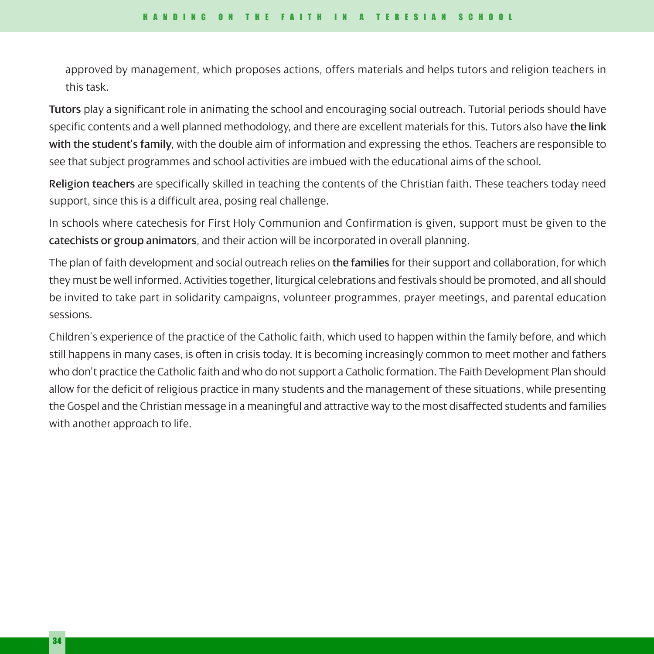approved by management, which proposes actions, offers materials and helps tutors and religion teachers in this task.

Tutors play a significant role in animating the school and encouraging social outreach. Tutorial periods should have specific contents and a well planned methodology, and there are excellent materials for this. Tutors also have the link with the student's family, with the double aim of information and expressing the ethos. Teachers are responsible to see that subject programmes and school activities are imbued with the educational aims of the school.

Religion teachers are specifically skilled in teaching the contents of the Christian faith. These teachers today need support, since this is a difficult area, posing real challenge.

In schools where catechesis for First Holy Communion and Confirmation is given, support must be given to the catechists or group animators, and their action will be incorporated in overall planning.

The plan of faith development and social outreach relies on the families for their support and collaboration, for which they must be well informed. Activities together, liturgical celebrations and festivals should be promoted, and all should be invited to take part in solidarity campaigns, volunteer programmes, prayer meetings, and parental education sessions.

Children's experience of the practice of the Catholic faith, which used to happen within the family before, and which still happens in many cases, is often in crisis today. It is becoming increasingly common to meet mother and fathers who don't practice the Catholic faith and who do not support a Catholic formation. The Faith Development Plan should allow for the deficit of religious practice in many students and the management of these situations, while presenting the Gospel and the Christian message in a meaningful and attractive way to the most disaffected students and families with another approach to life.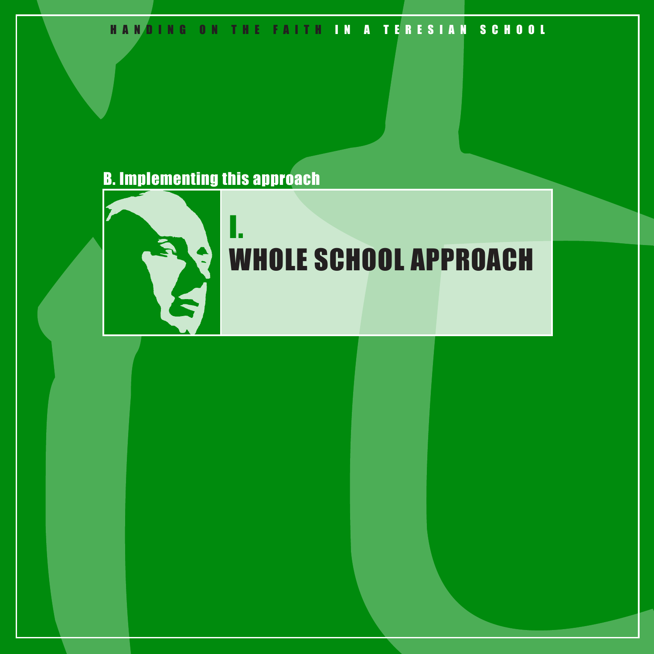# HANDING ON THE FAITH IN A TERESIAN SCHOOL

# B. Implementing this approach

I.



# WHOLE SCHOOL APPROACH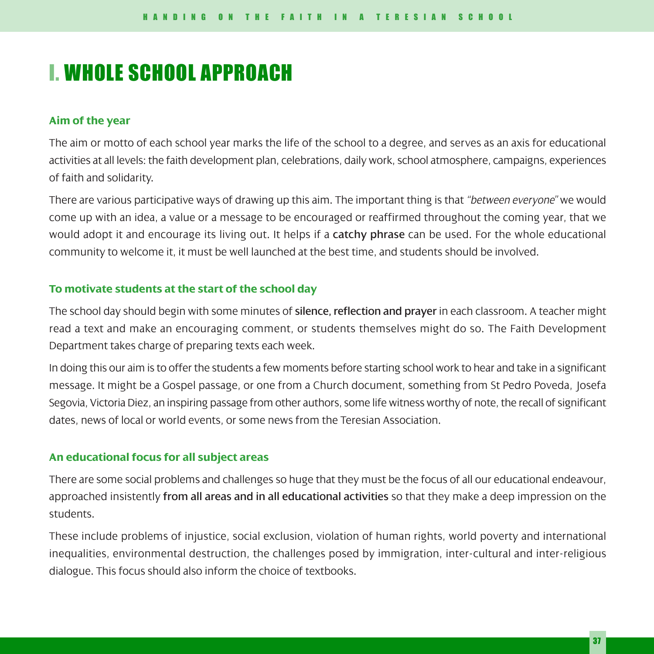# I. WHOLE SCHOOL APPROACH

## **Aim of the year**

The aim or motto of each school year marks the life of the school to a degree, and serves as an axis for educational activities at all levels: the faith development plan, celebrations, daily work, school atmosphere, campaigns, experiences of faith and solidarity.

There are various participative ways of drawing up this aim. The important thing is that *"between everyone"* we would come up with an idea, a value or a message to be encouraged or reaffirmed throughout the coming year, that we would adopt it and encourage its living out. It helps if a catchy phrase can be used. For the whole educational community to welcome it, it must be well launched at the best time, and students should be involved.

# **To motivate students at the start of the school day**

The school day should begin with some minutes of silence, reflection and prayer in each classroom. A teacher might read a text and make an encouraging comment, or students themselves might do so. The Faith Development Department takes charge of preparing texts each week.

In doing this our aim is to offer the students a few moments before starting school work to hear and take in a significant message. It might be a Gospel passage, or one from a Church document, something from St Pedro Poveda, Josefa Segovia, Victoria Diez, an inspiring passage from other authors, some life witness worthy of note, the recall of significant dates, news of local or world events, or some news from the Teresian Association.

## **An educational focus for all subject areas**

There are some social problems and challenges so huge that they must be the focus of all our educational endeavour, approached insistently from all areas and in all educational activities so that they make a deep impression on the students.

These include problems of injustice, social exclusion, violation of human rights, world poverty and international inequalities, environmental destruction, the challenges posed by immigration, inter-cultural and inter-religious dialogue. This focus should also inform the choice of textbooks.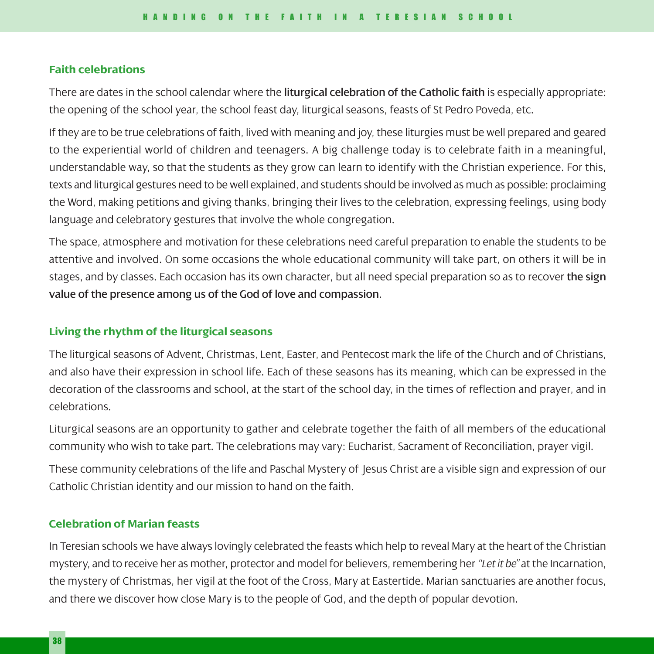### **Faith celebrations**

There are dates in the school calendar where the liturgical celebration of the Catholic faith is especially appropriate: the opening of the school year, the school feast day, liturgical seasons, feasts of St Pedro Poveda, etc.

If they are to be true celebrations of faith, lived with meaning and joy, these liturgies must be well prepared and geared to the experiential world of children and teenagers. A big challenge today is to celebrate faith in a meaningful, understandable way, so that the students as they grow can learn to identify with the Christian experience. For this, texts and liturgical gestures need to be well explained, and students should be involved as much as possible: proclaiming the Word, making petitions and giving thanks, bringing their lives to the celebration, expressing feelings, using body language and celebratory gestures that involve the whole congregation.

The space, atmosphere and motivation for these celebrations need careful preparation to enable the students to be attentive and involved. On some occasions the whole educational community will take part, on others it will be in stages, and by classes. Each occasion has its own character, but all need special preparation so as to recover the sign value of the presence among us of the God of love and compassion.

## **Living the rhythm of the liturgical seasons**

The liturgical seasons of Advent, Christmas, Lent, Easter, and Pentecost mark the life of the Church and of Christians, and also have their expression in school life. Each of these seasons has its meaning, which can be expressed in the decoration of the classrooms and school, at the start of the school day, in the times of reflection and prayer, and in celebrations.

Liturgical seasons are an opportunity to gather and celebrate together the faith of all members of the educational community who wish to take part. The celebrations may vary: Eucharist, Sacrament of Reconciliation, prayer vigil.

These community celebrations of the life and Paschal Mystery of Jesus Christ are a visible sign and expression of our Catholic Christian identity and our mission to hand on the faith.

# **Celebration of Marian feasts**

In Teresian schools we have always lovingly celebrated the feasts which help to reveal Mary at the heart of the Christian mystery, and to receive her as mother, protector and model for believers, remembering her *"Let it be"* at the Incarnation, the mystery of Christmas, her vigil at the foot of the Cross, Mary at Eastertide. Marian sanctuaries are another focus, and there we discover how close Mary is to the people of God, and the depth of popular devotion.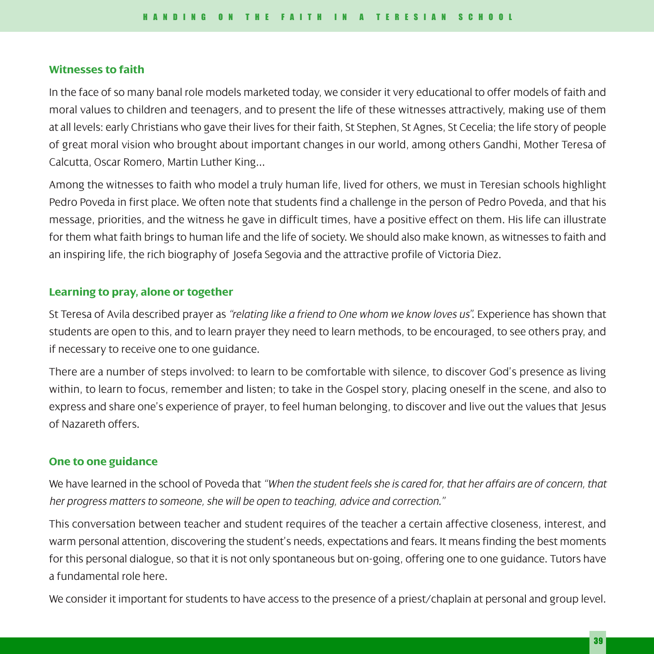### **Witnesses to faith**

In the face of so many banal role models marketed today, we consider it very educational to offer models of faith and moral values to children and teenagers, and to present the life of these witnesses attractively, making use of them at all levels: early Christians who gave their lives for their faith, St Stephen, St Agnes, St Cecelia; the life story of people of great moral vision who brought about important changes in our world, among others Gandhi, Mother Teresa of Calcutta, Oscar Romero, Martin Luther King...

Among the witnesses to faith who model a truly human life, lived for others, we must in Teresian schools highlight Pedro Poveda in first place. We often note that students find a challenge in the person of Pedro Poveda, and that his message, priorities, and the witness he gave in difficult times, have a positive effect on them. His life can illustrate for them what faith brings to human life and the life of society. We should also make known, as witnesses to faith and an inspiring life, the rich biography of Josefa Segovia and the attractive profile of Victoria Diez.

## **Learning to pray, alone or together**

St Teresa of Avila described prayer as *"relating like a friend to One whom we know loves us"*. Experience has shown that students are open to this, and to learn prayer they need to learn methods, to be encouraged, to see others pray, and if necessary to receive one to one guidance.

There are a number of steps involved: to learn to be comfortable with silence, to discover God's presence as living within, to learn to focus, remember and listen; to take in the Gospel story, placing oneself in the scene, and also to express and share one's experience of prayer, to feel human belonging, to discover and live out the values that Jesus of Nazareth offers.

# **One to one guidance**

We have learned in the school of Poveda that *"When the student feels she is cared for, that her affairs are of concern, that her progress matters to someone, she will be open to teaching, advice and correction."*

This conversation between teacher and student requires of the teacher a certain affective closeness, interest, and warm personal attention, discovering the student's needs, expectations and fears. It means finding the best moments for this personal dialogue, so that it is not only spontaneous but on-going, offering one to one guidance. Tutors have a fundamental role here.

We consider it important for students to have access to the presence of a priest/chaplain at personal and group level.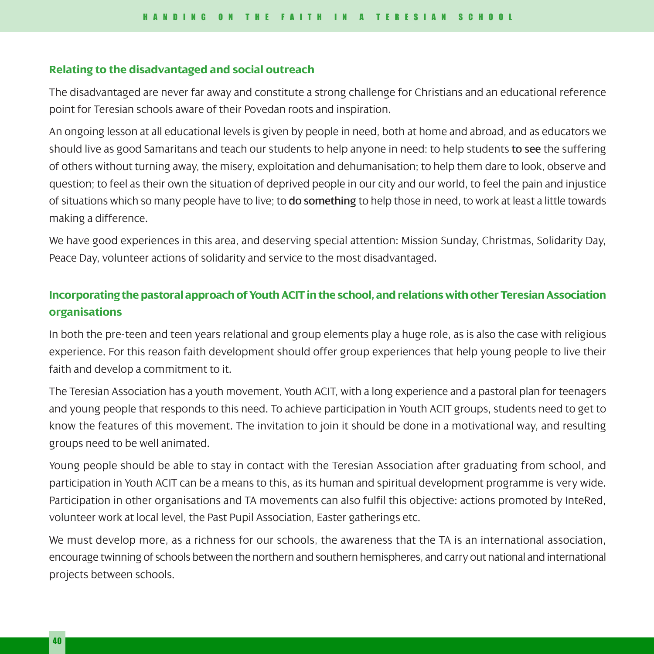#### **Relating to the disadvantaged and social outreach**

The disadvantaged are never far away and constitute a strong challenge for Christians and an educational reference point for Teresian schools aware of their Povedan roots and inspiration.

An ongoing lesson at all educational levels is given by people in need, both at home and abroad, and as educators we should live as good Samaritans and teach our students to help anyone in need: to help students to see the suffering of others without turning away, the misery, exploitation and dehumanisation; to help them dare to look, observe and question; to feel as their own the situation of deprived people in our city and our world, to feel the pain and injustice of situations which so many people have to live; to do something to help those in need, to work at least a little towards making a difference.

We have good experiences in this area, and deserving special attention: Mission Sunday, Christmas, Solidarity Day, Peace Day, volunteer actions of solidarity and service to the most disadvantaged.

# **Incorporating the pastoral approach of Youth ACIT in the school, and relations with other Teresian Association organisations**

In both the pre-teen and teen years relational and group elements play a huge role, as is also the case with religious experience. For this reason faith development should offer group experiences that help young people to live their faith and develop a commitment to it.

The Teresian Association has a youth movement, Youth ACIT, with a long experience and a pastoral plan for teenagers and young people that responds to this need. To achieve participation in Youth ACIT groups, students need to get to know the features of this movement. The invitation to join it should be done in a motivational way, and resulting groups need to be well animated.

Young people should be able to stay in contact with the Teresian Association after graduating from school, and participation in Youth ACIT can be a means to this, as its human and spiritual development programme is very wide. Participation in other organisations and TA movements can also fulfil this objective: actions promoted by InteRed, volunteer work at local level, the Past Pupil Association, Easter gatherings etc.

We must develop more, as a richness for our schools, the awareness that the TA is an international association, encourage twinning of schools between the northern and southern hemispheres, and carry out national and international projects between schools.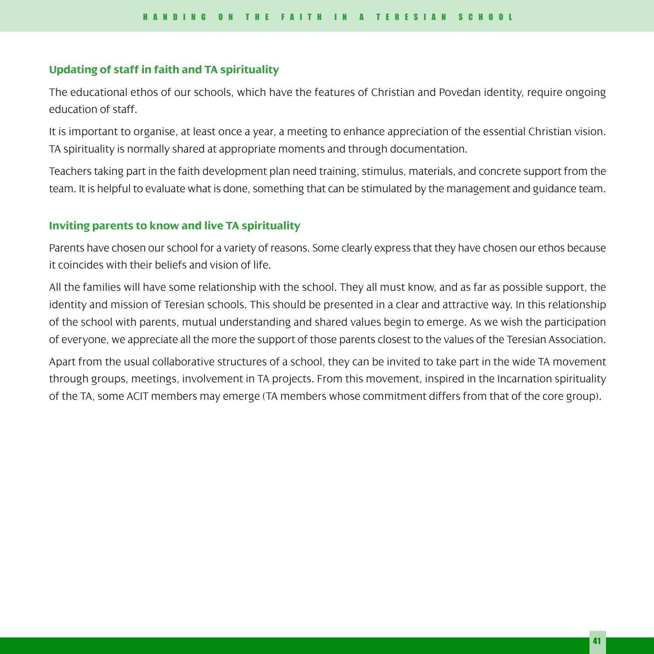### **Updating of staff in faith and TA spirituality**

The educational ethos of our schools, which have the features of Christian and Povedan identity, require ongoing education of staff.

It is important to organise, at least once a year, a meeting to enhance appreciation of the essential Christian vision. TA spirituality is normally shared at appropriate moments and through documentation.

Teachers taking part in the faith development plan need training, stimulus, materials, and concrete support from the team. It is helpful to evaluate what is done, something that can be stimulated by the management and guidance team.

## **Inviting parents to know and live TA spirituality**

Parents have chosen our school for a variety of reasons. Some clearly express that they have chosen our ethos because it coincides with their beliefs and vision of life.

All the families will have some relationship with the school. They all must know, and as far as possible support, the identity and mission of Teresian schools. This should be presented in a clear and attractive way. In this relationship of the school with parents, mutual understanding and shared values begin to emerge. As we wish the participation of everyone, we appreciate all the more the support of those parents closest to the values of the Teresian Association.

Apart from the usual collaborative structures of a school, they can be invited to take part in the wide TA movement through groups, meetings, involvement in TA projects. From this movement, inspired in the Incarnation spirituality of the TA, some ACIT members may emerge (TA members whose commitment differs from that of the core group).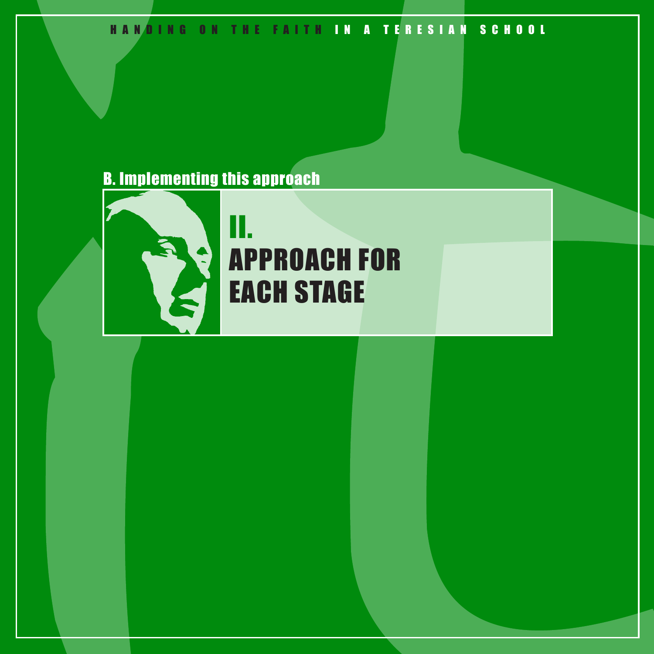# HANDING ON THE FAITH IN A TERESIAN SCHOOL

# B. Implementing this approach



# II. APPROACH FOR EACH STAGE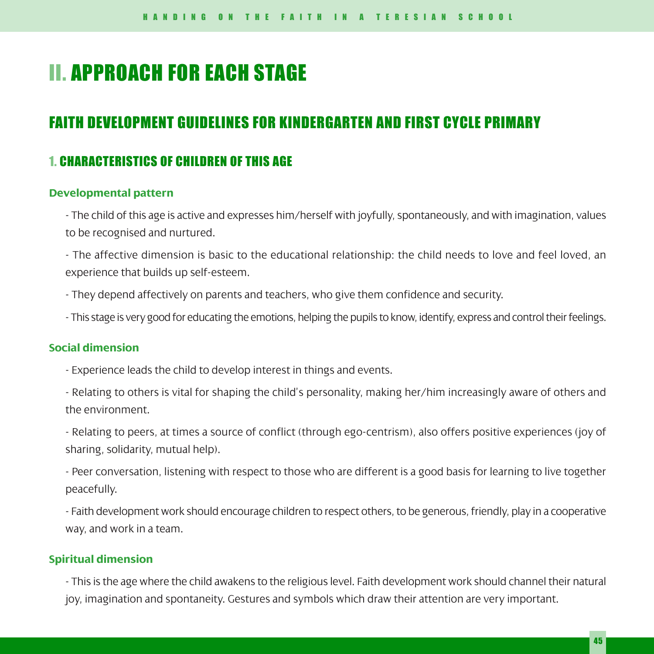# II. APPROACH FOR EACH STAGE

# FAITH DEVELOPMENT GUIDELINES FOR KINDERGARTEN AND FIRST CYCLE PRIMARY

# 1. CHARACTERISTICS OF CHILDREN OF THIS AGE

#### **Developmental pattern**

- The child of this age is active and expresses him/herself with joyfully, spontaneously, and with imagination, values to be recognised and nurtured.

- The affective dimension is basic to the educational relationship: the child needs to love and feel loved, an experience that builds up self-esteem.

- They depend affectively on parents and teachers, who give them confidence and security.
- This stage is very good for educating the emotions, helping the pupils to know, identify, express and control their feelings.

# **Social dimension**

- Experience leads the child to develop interest in things and events.
- Relating to others is vital for shaping the child's personality, making her/him increasingly aware of others and the environment.

- Relating to peers, at times a source of conflict (through ego-centrism), also offers positive experiences (joy of sharing, solidarity, mutual help).

- Peer conversation, listening with respect to those who are different is a good basis for learning to live together peacefully.

- Faith development work should encourage children to respect others, to be generous, friendly, play in a cooperative way, and work in a team.

# **Spiritual dimension**

- This is the age where the child awakens to the religious level. Faith development work should channel their natural joy, imagination and spontaneity. Gestures and symbols which draw their attention are very important.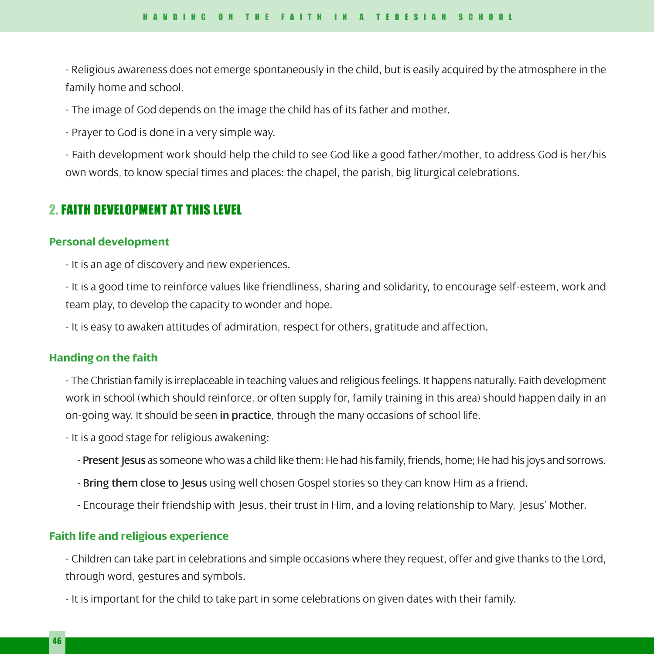- Religious awareness does not emerge spontaneously in the child, but is easily acquired by the atmosphere in the family home and school.

- The image of God depends on the image the child has of its father and mother.

- Prayer to God is done in a very simple way.

- Faith development work should help the child to see God like a good father/mother, to address God is her/his own words, to know special times and places: the chapel, the parish, big liturgical celebrations.

# 2. FAITH DEVELOPMENT AT THIS LEVEL

#### **Personal development**

- It is an age of discovery and new experiences.

- It is a good time to reinforce values like friendliness, sharing and solidarity, to encourage self-esteem, work and team play, to develop the capacity to wonder and hope.

- It is easy to awaken attitudes of admiration, respect for others, gratitude and affection.

#### **Handing on the faith**

- The Christian family is irreplaceable in teaching values and religious feelings. It happens naturally. Faith development work in school (which should reinforce, or often supply for, family training in this area) should happen daily in an on-going way. It should be seen in practice, through the many occasions of school life.

- It is a good stage for religious awakening:

- Present Jesus as someone who was a child like them: He had his family, friends, home; He had his joys and sorrows.
- Bring them close to Jesus using well chosen Gospel stories so they can know Him as a friend.
- Encourage their friendship with Jesus, their trust in Him, and a loving relationship to Mary, Jesus' Mother.

# **Faith life and religious experience**

- Children can take part in celebrations and simple occasions where they request, offer and give thanks to the Lord, through word, gestures and symbols.

- It is important for the child to take part in some celebrations on given dates with their family.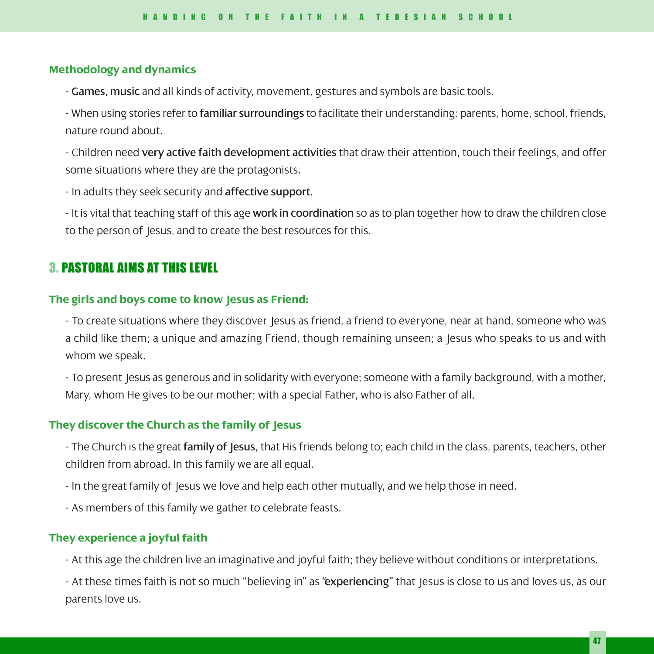### **Methodology and dynamics**

- Games, music and all kinds of activity, movement, gestures and symbols are basic tools.

- When using stories refer to familiar surroundings to facilitate their understanding: parents, home, school, friends, nature round about.

- Children need very active faith development activities that draw their attention, touch their feelings, and offer some situations where they are the protagonists.

- In adults they seek security and affective support.

- It is vital that teaching staff of this age work in coordination so as to plan together how to draw the children close to the person of Jesus, and to create the best resources for this.

# 3. PASTORAL AIMS AT THIS LEVEL

### **The girls and boys come to know Jesus as Friend:**

- To create situations where they discover Jesus as friend, a friend to everyone, near at hand, someone who was a child like them; a unique and amazing Friend, though remaining unseen; a Jesus who speaks to us and with whom we speak.

- To present Jesus as generous and in solidarity with everyone; someone with a family background, with a mother, Mary, whom He gives to be our mother; with a special Father, who is also Father of all.

#### **They discover the Church as the family of Jesus**

- The Church is the great family of Jesus, that His friends belong to; each child in the class, parents, teachers, other children from abroad. In this family we are all equal.

- In the great family of Jesus we love and help each other mutually, and we help those in need.

- As members of this family we gather to celebrate feasts.

## **They experience a joyful faith**

- At this age the children live an imaginative and joyful faith; they believe without conditions or interpretations.

- At these times faith is not so much "believing in" as "experiencing" that Jesus is close to us and loves us, as our parents love us.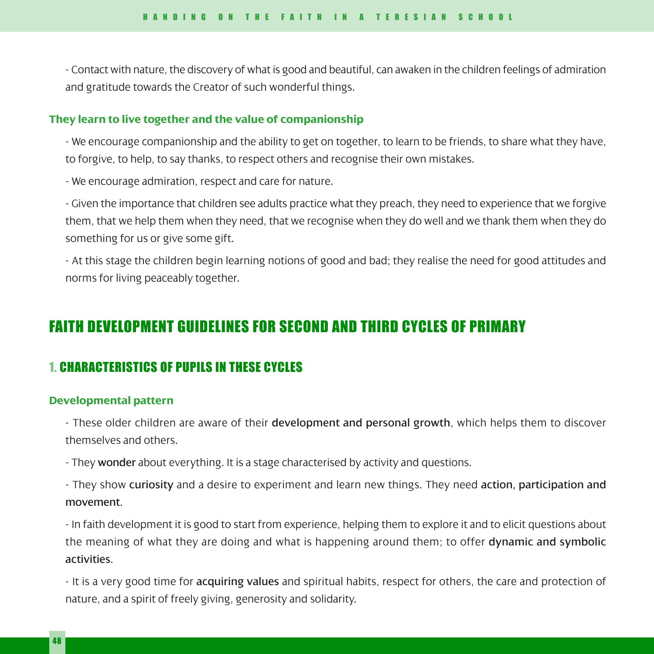- Contact with nature, the discovery of what is good and beautiful, can awaken in the children feelings of admiration and gratitude towards the Creator of such wonderful things.

#### **They learn to live together and the value of companionship**

- We encourage companionship and the ability to get on together, to learn to be friends, to share what they have, to forgive, to help, to say thanks, to respect others and recognise their own mistakes.

- We encourage admiration, respect and care for nature.

- Given the importance that children see adults practice what they preach, they need to experience that we forgive them, that we help them when they need, that we recognise when they do well and we thank them when they do something for us or give some gift.

- At this stage the children begin learning notions of good and bad; they realise the need for good attitudes and norms for living peaceably together.

# FAITH DEVELOPMENT GUIDELINES FOR SECOND AND THIRD CYCLES OF PRIMARY

# 1. CHARACTERISTICS OF PUPILS IN THESE CYCLES

# **Developmental pattern**

- These older children are aware of their development and personal growth, which helps them to discover themselves and others.

- They wonder about everything. It is a stage characterised by activity and questions.

- They show curiosity and a desire to experiment and learn new things. They need action, participation and movement.

- In faith development it is good to start from experience, helping them to explore it and to elicit questions about the meaning of what they are doing and what is happening around them; to offer dynamic and symbolic activities.

- It is a very good time for acquiring values and spiritual habits, respect for others, the care and protection of nature, and a spirit of freely giving, generosity and solidarity.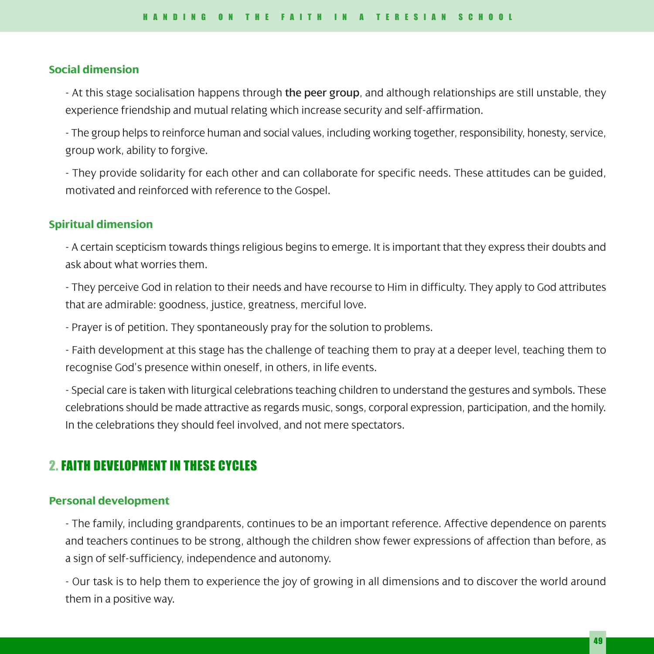#### **Social dimension**

- At this stage socialisation happens through the peer group, and although relationships are still unstable, they experience friendship and mutual relating which increase security and self-affirmation.

- The group helps to reinforce human and social values, including working together, responsibility, honesty, service, group work, ability to forgive.

- They provide solidarity for each other and can collaborate for specific needs. These attitudes can be guided, motivated and reinforced with reference to the Gospel.

# **Spiritual dimension**

- A certain scepticism towards things religious begins to emerge. It is important that they express their doubts and ask about what worries them.

- They perceive God in relation to their needs and have recourse to Him in difficulty. They apply to God attributes that are admirable: goodness, justice, greatness, merciful love.

- Prayer is of petition. They spontaneously pray for the solution to problems.

- Faith development at this stage has the challenge of teaching them to pray at a deeper level, teaching them to recognise God's presence within oneself, in others, in life events.

- Special care is taken with liturgical celebrations teaching children to understand the gestures and symbols. These celebrations should be made attractive as regards music, songs, corporal expression, participation, and the homily. In the celebrations they should feel involved, and not mere spectators.

# 2. FAITH DEVELOPMENT IN THESE CYCLES

### **Personal development**

- The family, including grandparents, continues to be an important reference. Affective dependence on parents and teachers continues to be strong, although the children show fewer expressions of affection than before, as a sign of self-sufficiency, independence and autonomy.

- Our task is to help them to experience the joy of growing in all dimensions and to discover the world around them in a positive way.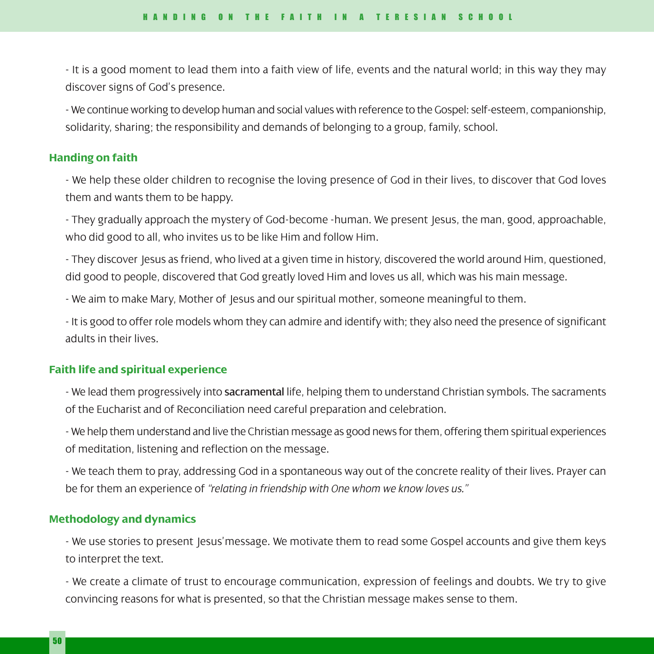- It is a good moment to lead them into a faith view of life, events and the natural world; in this way they may discover signs of God's presence.

- We continue working to develop human and social values with reference to the Gospel: self-esteem, companionship, solidarity, sharing; the responsibility and demands of belonging to a group, family, school.

#### **Handing on faith**

- We help these older children to recognise the loving presence of God in their lives, to discover that God loves them and wants them to be happy.

- They gradually approach the mystery of God-become -human. We present Jesus, the man, good, approachable, who did good to all, who invites us to be like Him and follow Him.

- They discover Jesus as friend, who lived at a given time in history, discovered the world around Him, questioned, did good to people, discovered that God greatly loved Him and loves us all, which was his main message.

- We aim to make Mary, Mother of Jesus and our spiritual mother, someone meaningful to them.

- It is good to offer role models whom they can admire and identify with; they also need the presence of significant adults in their lives.

# **Faith life and spiritual experience**

- We lead them progressively into sacramental life, helping them to understand Christian symbols. The sacraments of the Eucharist and of Reconciliation need careful preparation and celebration.

- We help them understand and live the Christian message as good news for them, offering them spiritual experiences of meditation, listening and reflection on the message.

- We teach them to pray, addressing God in a spontaneous way out of the concrete reality of their lives. Prayer can be for them an experience of *"relating in friendship with One whom we know loves us."*

## **Methodology and dynamics**

- We use stories to present Jesus'message. We motivate them to read some Gospel accounts and give them keys to interpret the text.

- We create a climate of trust to encourage communication, expression of feelings and doubts. We try to give convincing reasons for what is presented, so that the Christian message makes sense to them.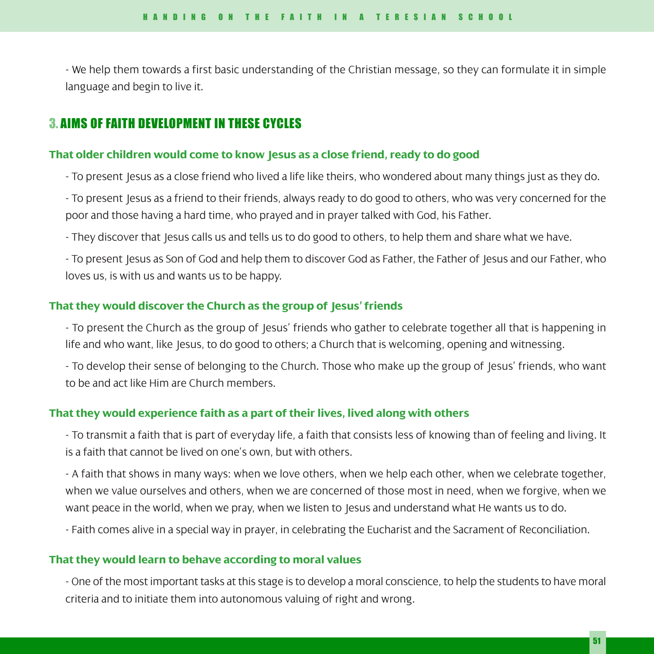- We help them towards a first basic understanding of the Christian message, so they can formulate it in simple language and begin to live it.

# 3. AIMS OF FAITH DEVELOPMENT IN THESE CYCLES

### **That older children would come to know Jesus as a close friend, ready to do good**

- To present Jesus as a close friend who lived a life like theirs, who wondered about many things just as they do.

- To present Jesus as a friend to their friends, always ready to do good to others, who was very concerned for the poor and those having a hard time, who prayed and in prayer talked with God, his Father.
- They discover that Jesus calls us and tells us to do good to others, to help them and share what we have.

- To present Jesus as Son of God and help them to discover God as Father, the Father of Jesus and our Father, who loves us, is with us and wants us to be happy.

## **That they would discover the Church as the group of Jesus' friends**

- To present the Church as the group of Jesus' friends who gather to celebrate together all that is happening in life and who want, like Jesus, to do good to others; a Church that is welcoming, opening and witnessing.

- To develop their sense of belonging to the Church. Those who make up the group of Jesus' friends, who want to be and act like Him are Church members.

## **That they would experience faith as a part of their lives, lived along with others**

- To transmit a faith that is part of everyday life, a faith that consists less of knowing than of feeling and living. It is a faith that cannot be lived on one's own, but with others.

- A faith that shows in many ways: when we love others, when we help each other, when we celebrate together, when we value ourselves and others, when we are concerned of those most in need, when we forgive, when we want peace in the world, when we pray, when we listen to Jesus and understand what He wants us to do.

- Faith comes alive in a special way in prayer, in celebrating the Eucharist and the Sacrament of Reconciliation.

# **That they would learn to behave according to moral values**

- One of the most important tasks at this stage is to develop a moral conscience, to help the students to have moral criteria and to initiate them into autonomous valuing of right and wrong.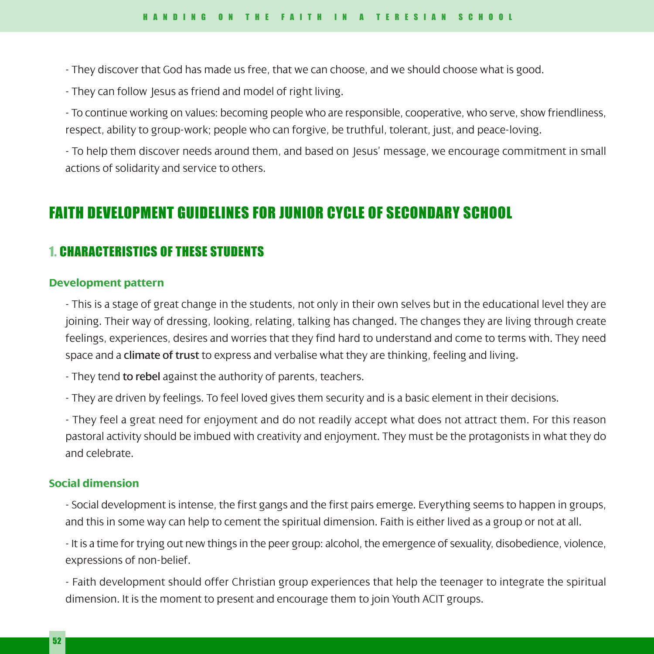- They discover that God has made us free, that we can choose, and we should choose what is good.
- They can follow Jesus as friend and model of right living.

- To continue working on values: becoming people who are responsible, cooperative, who serve, show friendliness, respect, ability to group-work; people who can forgive, be truthful, tolerant, just, and peace-loving.

- To help them discover needs around them, and based on Jesus' message, we encourage commitment in small actions of solidarity and service to others.

# FAITH DEVELOPMENT GUIDELINES FOR JUNIOR CYCLE OF SECONDARY SCHOOL

# 1. CHARACTERISTICS OF THESE STUDENTS

#### **Development pattern**

- This is a stage of great change in the students, not only in their own selves but in the educational level they are joining. Their way of dressing, looking, relating, talking has changed. The changes they are living through create feelings, experiences, desires and worries that they find hard to understand and come to terms with. They need space and a **climate of trust** to express and verbalise what they are thinking, feeling and living.

- They tend to rebel against the authority of parents, teachers.

- They are driven by feelings. To feel loved gives them security and is a basic element in their decisions.

- They feel a great need for enjoyment and do not readily accept what does not attract them. For this reason pastoral activity should be imbued with creativity and enjoyment. They must be the protagonists in what they do and celebrate.

#### **Social dimension**

- Social development is intense, the first gangs and the first pairs emerge. Everything seems to happen in groups, and this in some way can help to cement the spiritual dimension. Faith is either lived as a group or not at all.

- It is a time for trying out new things in the peer group: alcohol, the emergence of sexuality, disobedience, violence, expressions of non-belief.

- Faith development should offer Christian group experiences that help the teenager to integrate the spiritual dimension. It is the moment to present and encourage them to join Youth ACIT groups.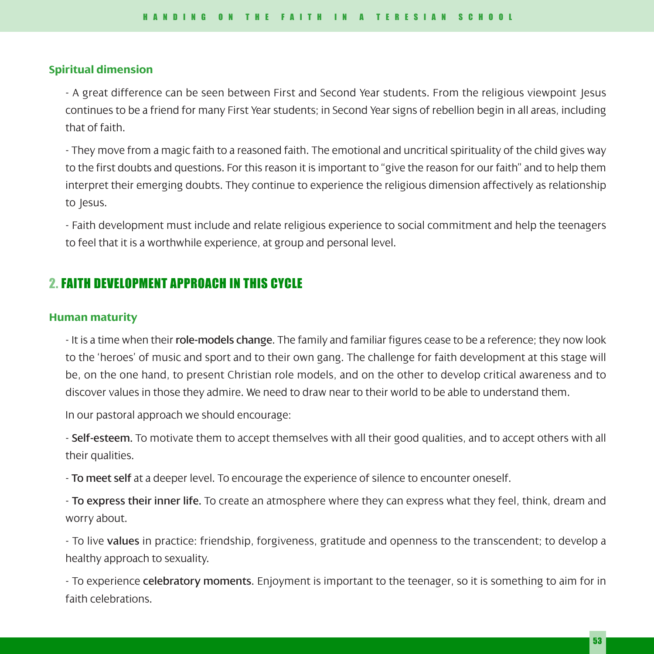## **Spiritual dimension**

- A great difference can be seen between First and Second Year students. From the religious viewpoint Jesus continues to be a friend for many First Year students; in Second Year signs of rebellion begin in all areas, including that of faith.

- They move from a magic faith to a reasoned faith. The emotional and uncritical spirituality of the child gives way to the first doubts and questions. For this reason it is important to "give the reason for our faith" and to help them interpret their emerging doubts. They continue to experience the religious dimension affectively as relationship to Jesus.

- Faith development must include and relate religious experience to social commitment and help the teenagers to feel that it is a worthwhile experience, at group and personal level.

# 2. FAITH DEVELOPMENT APPROACH IN THIS CYCLE

#### **Human maturity**

- It is a time when their role-models change. The family and familiar figures cease to be a reference; they now look to the 'heroes' of music and sport and to their own gang. The challenge for faith development at this stage will be, on the one hand, to present Christian role models, and on the other to develop critical awareness and to discover values in those they admire. We need to draw near to their world to be able to understand them.

In our pastoral approach we should encourage:

- Self-esteem. To motivate them to accept themselves with all their good qualities, and to accept others with all their qualities.

- To meet self at a deeper level. To encourage the experience of silence to encounter oneself.

- To express their inner life. To create an atmosphere where they can express what they feel, think, dream and worry about.

- To live values in practice: friendship, forgiveness, gratitude and openness to the transcendent; to develop a healthy approach to sexuality.

- To experience celebratory moments. Enjoyment is important to the teenager, so it is something to aim for in faith celebrations.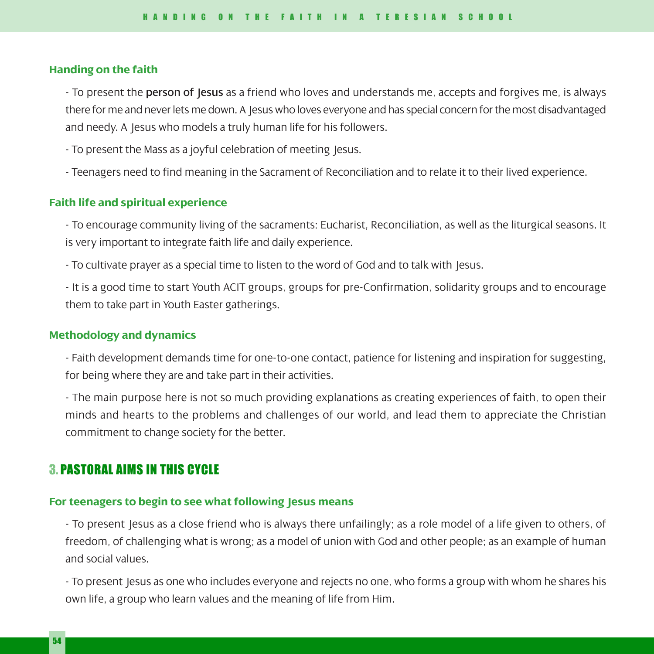#### **Handing on the faith**

- To present the **person of Jesus** as a friend who loves and understands me, accepts and forgives me, is always there for me and never lets me down. A Jesus who loves everyone and has special concern for the most disadvantaged and needy. A Jesus who models a truly human life for his followers.

- To present the Mass as a joyful celebration of meeting Jesus.

- Teenagers need to find meaning in the Sacrament of Reconciliation and to relate it to their lived experience.

# **Faith life and spiritual experience**

- To encourage community living of the sacraments: Eucharist, Reconciliation, as well as the liturgical seasons. It is very important to integrate faith life and daily experience.

- To cultivate prayer as a special time to listen to the word of God and to talk with Jesus.

- It is a good time to start Youth ACIT groups, groups for pre-Confirmation, solidarity groups and to encourage them to take part in Youth Easter gatherings.

#### **Methodology and dynamics**

- Faith development demands time for one-to-one contact, patience for listening and inspiration for suggesting, for being where they are and take part in their activities.

- The main purpose here is not so much providing explanations as creating experiences of faith, to open their minds and hearts to the problems and challenges of our world, and lead them to appreciate the Christian commitment to change society for the better.

# 3. PASTORAL AIMS IN THIS CYCLE

#### **For teenagers to begin to see what following Jesus means**

- To present Jesus as a close friend who is always there unfailingly; as a role model of a life given to others, of freedom, of challenging what is wrong; as a model of union with God and other people; as an example of human and social values.

- To present Jesus as one who includes everyone and rejects no one, who forms a group with whom he shares his own life, a group who learn values and the meaning of life from Him.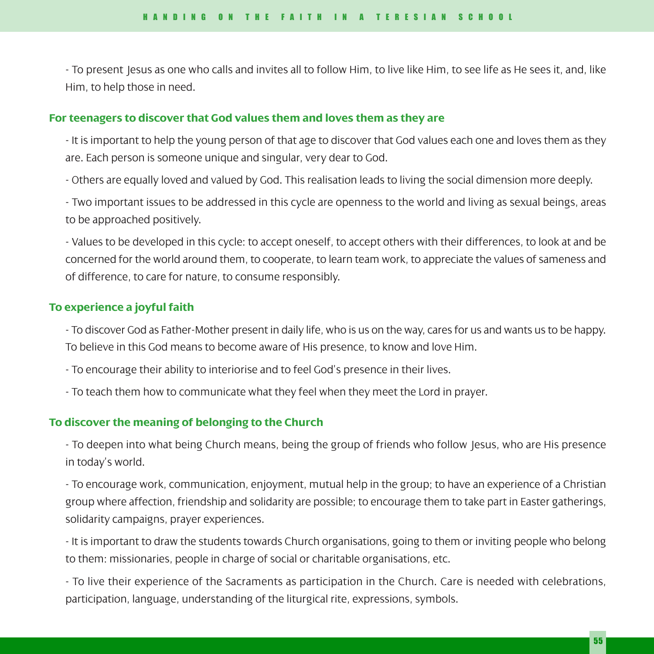- To present Jesus as one who calls and invites all to follow Him, to live like Him, to see life as He sees it, and, like Him, to help those in need.

#### **For teenagers to discover that God values them and loves them as they are**

- It is important to help the young person of that age to discover that God values each one and loves them as they are. Each person is someone unique and singular, very dear to God.

- Others are equally loved and valued by God. This realisation leads to living the social dimension more deeply.

- Two important issues to be addressed in this cycle are openness to the world and living as sexual beings, areas to be approached positively.

- Values to be developed in this cycle: to accept oneself, to accept others with their differences, to look at and be concerned for the world around them, to cooperate, to learn team work, to appreciate the values of sameness and of difference, to care for nature, to consume responsibly.

#### **To experience a joyful faith**

- To discover God as Father-Mother present in daily life, who is us on the way, cares for us and wants us to be happy. To believe in this God means to become aware of His presence, to know and love Him.

- To encourage their ability to interiorise and to feel God's presence in their lives.

- To teach them how to communicate what they feel when they meet the Lord in prayer.

## **To discover the meaning of belonging to the Church**

- To deepen into what being Church means, being the group of friends who follow Jesus, who are His presence in today's world.

- To encourage work, communication, enjoyment, mutual help in the group; to have an experience of a Christian group where affection, friendship and solidarity are possible; to encourage them to take part in Easter gatherings, solidarity campaigns, prayer experiences.

- It is important to draw the students towards Church organisations, going to them or inviting people who belong to them: missionaries, people in charge of social or charitable organisations, etc.

- To live their experience of the Sacraments as participation in the Church. Care is needed with celebrations, participation, language, understanding of the liturgical rite, expressions, symbols.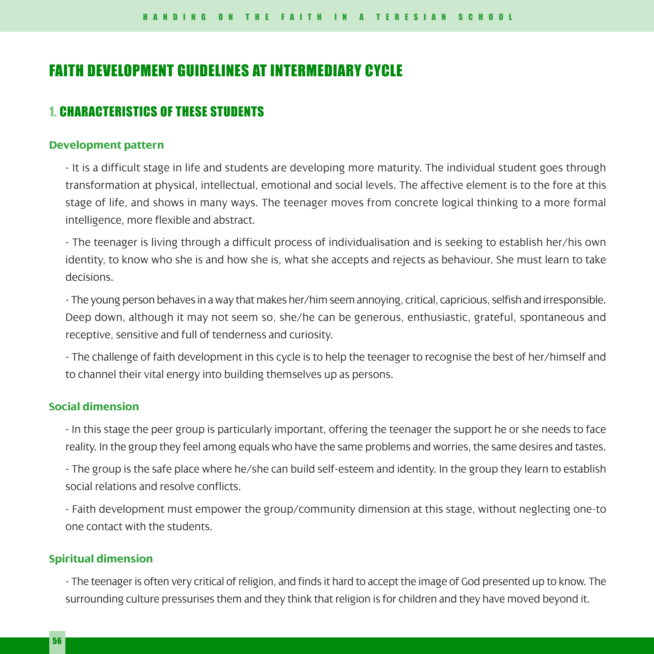# FAITH DEVELOPMENT GUIDELINES AT INTERMEDIARY CYCLE

# 1. CHARACTERISTICS OF THESE STUDENTS

#### **Development pattern**

- It is a difficult stage in life and students are developing more maturity. The individual student goes through transformation at physical, intellectual, emotional and social levels. The affective element is to the fore at this stage of life, and shows in many ways. The teenager moves from concrete logical thinking to a more formal intelligence, more flexible and abstract.

- The teenager is living through a difficult process of individualisation and is seeking to establish her/his own identity, to know who she is and how she is, what she accepts and rejects as behaviour. She must learn to take decisions.

- The young person behaves in a way that makes her/him seem annoying, critical, capricious, selfish and irresponsible. Deep down, although it may not seem so, she/he can be generous, enthusiastic, grateful, spontaneous and receptive, sensitive and full of tenderness and curiosity.

- The challenge of faith development in this cycle is to help the teenager to recognise the best of her/himself and to channel their vital energy into building themselves up as persons.

# **Social dimension**

- In this stage the peer group is particularly important, offering the teenager the support he or she needs to face reality. In the group they feel among equals who have the same problems and worries, the same desires and tastes.

- The group is the safe place where he/she can build self-esteem and identity. In the group they learn to establish social relations and resolve conflicts.

- Faith development must empower the group/community dimension at this stage, without neglecting one-to one contact with the students.

# **Spiritual dimension**

- The teenager is often very critical of religion, and finds it hard to accept the image of God presented up to know. The surrounding culture pressurises them and they think that religion is for children and they have moved beyond it.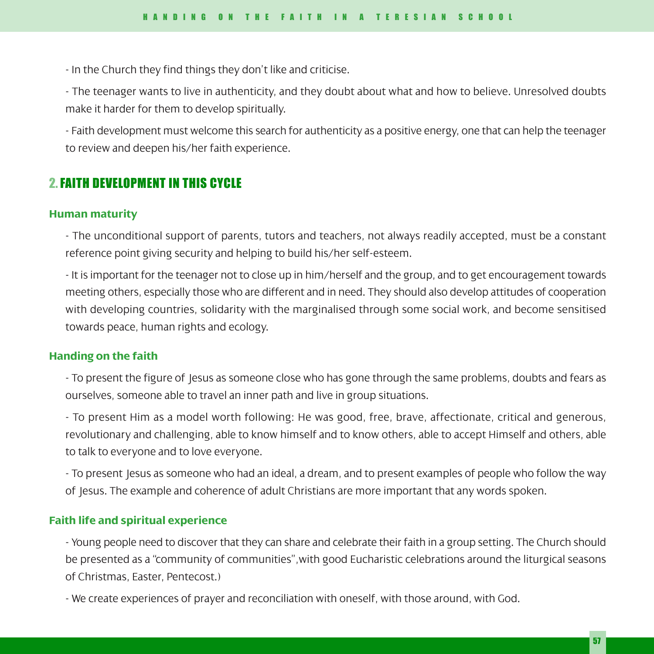- In the Church they find things they don't like and criticise.

- The teenager wants to live in authenticity, and they doubt about what and how to believe. Unresolved doubts make it harder for them to develop spiritually.

- Faith development must welcome this search for authenticity as a positive energy, one that can help the teenager to review and deepen his/her faith experience.

# 2.FAITH DEVELOPMENT IN THIS CYCLE

#### **Human maturity**

- The unconditional support of parents, tutors and teachers, not always readily accepted, must be a constant reference point giving security and helping to build his/her self-esteem.

- It is important for the teenager not to close up in him/herself and the group, and to get encouragement towards meeting others, especially those who are different and in need. They should also develop attitudes of cooperation with developing countries, solidarity with the marginalised through some social work, and become sensitised towards peace, human rights and ecology.

# **Handing on the faith**

- To present the figure of Jesus as someone close who has gone through the same problems, doubts and fears as ourselves, someone able to travel an inner path and live in group situations.

- To present Him as a model worth following: He was good, free, brave, affectionate, critical and generous, revolutionary and challenging, able to know himself and to know others, able to accept Himself and others, able to talk to everyone and to love everyone.

- To present Jesus as someone who had an ideal, a dream, and to present examples of people who follow the way of Jesus. The example and coherence of adult Christians are more important that any words spoken.

#### **Faith life and spiritual experience**

- Young people need to discover that they can share and celebrate their faith in a group setting. The Church should be presented as a "community of communities",with good Eucharistic celebrations around the liturgical seasons of Christmas, Easter, Pentecost.)

- We create experiences of prayer and reconciliation with oneself, with those around, with God.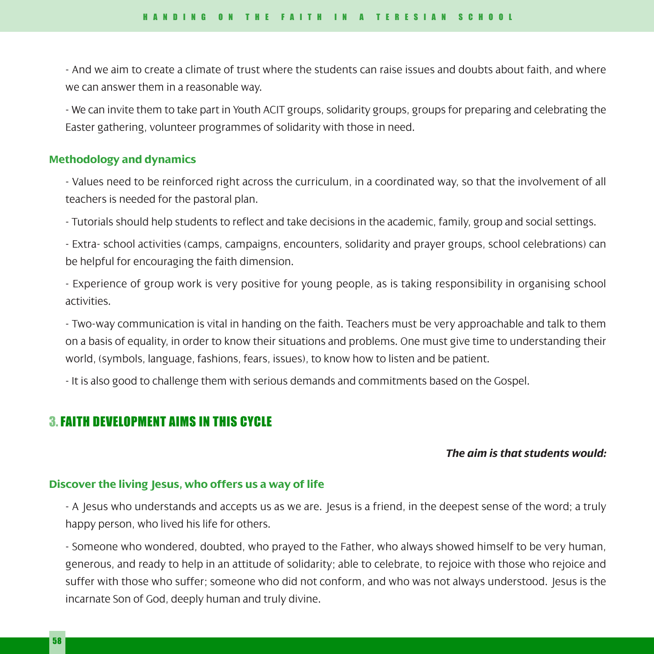- And we aim to create a climate of trust where the students can raise issues and doubts about faith, and where we can answer them in a reasonable way.

- We can invite them to take part in Youth ACIT groups, solidarity groups, groups for preparing and celebrating the Easter gathering, volunteer programmes of solidarity with those in need.

### **Methodology and dynamics**

- Values need to be reinforced right across the curriculum, in a coordinated way, so that the involvement of all teachers is needed for the pastoral plan.

- Tutorials should help students to reflect and take decisions in the academic, family, group and social settings.

- Extra- school activities (camps, campaigns, encounters, solidarity and prayer groups, school celebrations) can be helpful for encouraging the faith dimension.

- Experience of group work is very positive for young people, as is taking responsibility in organising school activities.

- Two-way communication is vital in handing on the faith. Teachers must be very approachable and talk to them on a basis of equality, in order to know their situations and problems. One must give time to understanding their world, (symbols, language, fashions, fears, issues), to know how to listen and be patient.

- It is also good to challenge them with serious demands and commitments based on the Gospel.

# 3.FAITH DEVELOPMENT AIMS IN THIS CYCLE

### *The aim is that students would:*

#### **Discover the living Jesus, who offers us a way of life**

- A Jesus who understands and accepts us as we are. Jesus is a friend, in the deepest sense of the word; a truly happy person, who lived his life for others.

- Someone who wondered, doubted, who prayed to the Father, who always showed himself to be very human, generous, and ready to help in an attitude of solidarity; able to celebrate, to rejoice with those who rejoice and suffer with those who suffer; someone who did not conform, and who was not always understood. Jesus is the incarnate Son of God, deeply human and truly divine.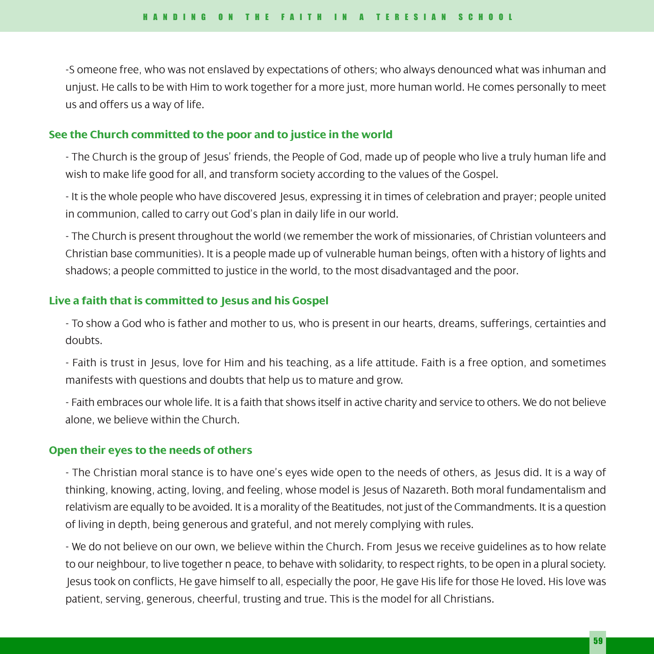-S omeone free, who was not enslaved by expectations of others; who always denounced what was inhuman and unjust. He calls to be with Him to work together for a more just, more human world. He comes personally to meet us and offers us a way of life.

## **See the Church committed to the poor and to justice in the world**

- The Church is the group of Jesus' friends, the People of God, made up of people who live a truly human life and wish to make life good for all, and transform society according to the values of the Gospel.

- It is the whole people who have discovered Jesus, expressing it in times of celebration and prayer; people united in communion, called to carry out God's plan in daily life in our world.

- The Church is present throughout the world (we remember the work of missionaries, of Christian volunteers and Christian base communities). It is a people made up of vulnerable human beings, often with a history of lights and shadows; a people committed to justice in the world, to the most disadvantaged and the poor.

# **Live a faith that is committed to Jesus and his Gospel**

- To show a God who is father and mother to us, who is present in our hearts, dreams, sufferings, certainties and doubts.

- Faith is trust in Jesus, love for Him and his teaching, as a life attitude. Faith is a free option, and sometimes manifests with questions and doubts that help us to mature and grow.

- Faith embraces our whole life. It is a faith that shows itself in active charity and service to others. We do not believe alone, we believe within the Church.

## **Open their eyes to the needs of others**

- The Christian moral stance is to have one's eyes wide open to the needs of others, as Jesus did. It is a way of thinking, knowing, acting, loving, and feeling, whose model is Jesus of Nazareth. Both moral fundamentalism and relativism are equally to be avoided. It is a morality of the Beatitudes, not just of the Commandments. It is a question of living in depth, being generous and grateful, and not merely complying with rules.

- We do not believe on our own, we believe within the Church. From Jesus we receive guidelines as to how relate to our neighbour, to live together n peace, to behave with solidarity, to respect rights, to be open in a plural society. Jesus took on conflicts, He gave himself to all, especially the poor, He gave His life for those He loved. His love was patient, serving, generous, cheerful, trusting and true. This is the model for all Christians.